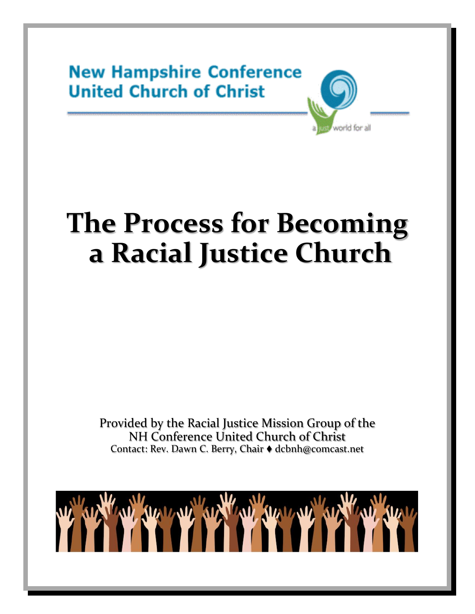

# **The Process for Becoming a Racial Justice Church**

world for all

Provided by the Racial Justice Mission Group of the NH Conference United Church of Christ Contact: Rev. Dawn C. Berry, Chair ♦ dcbnh@comcast.net

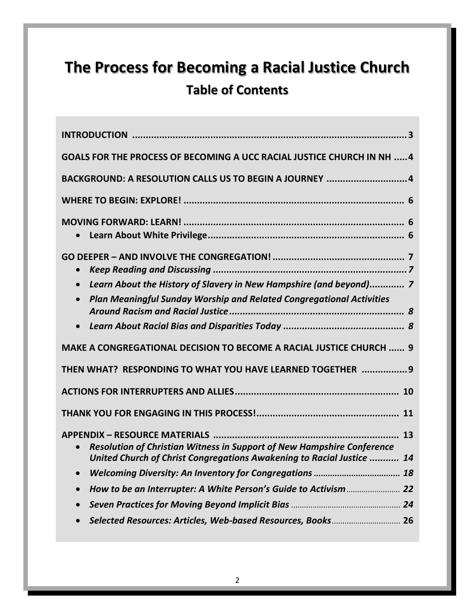# **The Process for Becoming a Racial Justice Church Table of Contents**

| <b>GOALS FOR THE PROCESS OF BECOMING A UCC RACIAL JUSTICE CHURCH IN NH  4</b>                                                                                |
|--------------------------------------------------------------------------------------------------------------------------------------------------------------|
| BACKGROUND: A RESOLUTION CALLS US TO BEGIN A JOURNEY  4                                                                                                      |
|                                                                                                                                                              |
| $\bullet$                                                                                                                                                    |
| $\bullet$                                                                                                                                                    |
| Learn About the History of Slavery in New Hampshire (and beyond) 7<br>$\bullet$                                                                              |
| <b>Plan Meaningful Sunday Worship and Related Congregational Activities</b><br>$\bullet$                                                                     |
|                                                                                                                                                              |
| MAKE A CONGREGATIONAL DECISION TO BECOME A RACIAL JUSTICE CHURCH  9                                                                                          |
| THEN WHAT? RESPONDING TO WHAT YOU HAVE LEARNED TOGETHER  9                                                                                                   |
|                                                                                                                                                              |
|                                                                                                                                                              |
| Resolution of Christian Witness in Support of New Hampshire Conference<br>$\bullet$<br>United Church of Christ Congregations Awakening to Racial Justice  14 |
| $\bullet$                                                                                                                                                    |
| $\bullet$                                                                                                                                                    |
|                                                                                                                                                              |
|                                                                                                                                                              |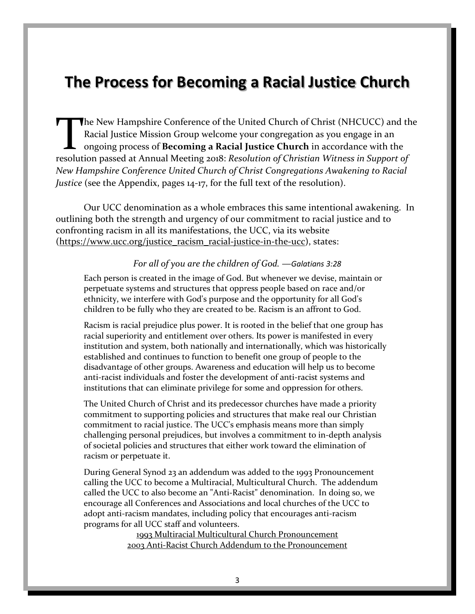# **The Process for Becoming a Racial Justice Church**

he New Hampshire Conference of the United Church of Christ (NHCUCC) and the Racial Justice Mission Group welcome your congregation as you engage in an ongoing process of **Becoming a Racial Justice Church** in accordance with the **The New Hampshire Conference of the United Church of Christ (NHCUCC) and the Racial Justice Mission Group welcome your congregation as you engage in an ongoing process of <b>Becoming a Racial Justice Church** in accordance w *New Hampshire Conference United Church of Christ Congregations Awakening to Racial Justice* (see the Appendix, pages 14-17, for the full text of the resolution).

Our UCC denomination as a whole embraces this same intentional awakening. In outlining both the strength and urgency of our commitment to racial justice and to confronting racism in all its manifestations, the UCC, via its website [\(https://www.ucc.org/justice\\_racism\\_racial-justice-in-the-ucc\)](https://www.ucc.org/justice_racism_racial-justice-in-the-ucc), states:

#### *For all of you are the children of God. —Galatians 3:28*

Each person is created in the image of God. But whenever we devise, maintain or perpetuate systems and structures that oppress people based on race and/or ethnicity, we interfere with God's purpose and the opportunity for all God's children to be fully who they are created to be. Racism is an affront to God.

Racism is racial prejudice plus power. It is rooted in the belief that one group has racial superiority and entitlement over others. Its power is manifested in every institution and system, both nationally and internationally, which was historically established and continues to function to benefit one group of people to the disadvantage of other groups. Awareness and education will help us to become anti-racist individuals and foster the development of anti-racist systems and institutions that can eliminate privilege for some and oppression for others.

The United Church of Christ and its predecessor churches have made a priority commitment to supporting policies and structures that make real our Christian commitment to racial justice. The UCC's emphasis means more than simply challenging personal prejudices, but involves a commitment to in-depth analysis of societal policies and structures that either work toward the elimination of racism or perpetuate it.

During General Synod 23 an addendum was added to the 1993 Pronouncement calling the UCC to become a Multiracial, Multicultural Church. The addendum called the UCC to also become an "Anti-Racist" denomination. In doing so, we encourage all Conferences and Associations and local churches of the UCC to adopt anti-racism mandates, including policy that encourages anti-racism programs for all UCC staff and volunteers.

> [1993 Multiracial Multicultural Church Pronouncement](https://www.ucc.org/justice/multiracial-multicultural/pronoucement.html) [2003 Anti-Racist Church Addendum to the Pronouncement](https://www.ucc.org/justice/racism/anti-racist-church.html)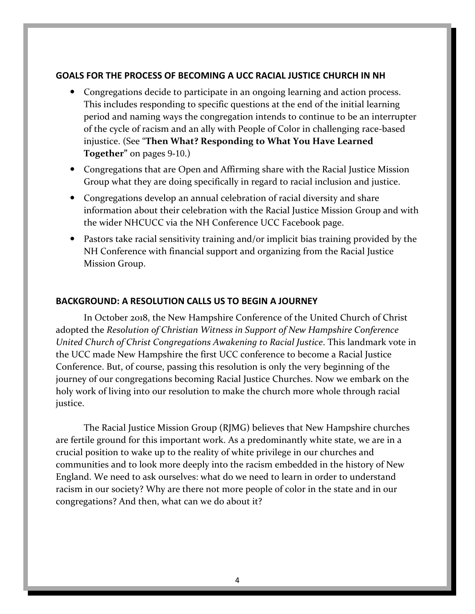#### **GOALS FOR THE PROCESS OF BECOMING A UCC RACIAL JUSTICE CHURCH IN NH**

- Congregations decide to participate in an ongoing learning and action process. This includes responding to specific questions at the end of the initial learning period and naming ways the congregation intends to continue to be an interrupter of the cycle of racism and an ally with People of Color in challenging race-based injustice. (See "**Then What? Responding to What You Have Learned Together"** on pages 9-10.)
- Congregations that are Open and Affirming share with the Racial Justice Mission Group what they are doing specifically in regard to racial inclusion and justice.
- Congregations develop an annual celebration of racial diversity and share information about their celebration with the Racial Justice Mission Group and with the wider NHCUCC via the NH Conference UCC Facebook page.
- Pastors take racial sensitivity training and/or implicit bias training provided by the NH Conference with financial support and organizing from the Racial Justice Mission Group.

#### **BACKGROUND: A RESOLUTION CALLS US TO BEGIN A JOURNEY**

In October 2018, the New Hampshire Conference of the United Church of Christ adopted the *Resolution of Christian Witness in Support of New Hampshire Conference United Church of Christ Congregations Awakening to Racial Justice*. This landmark vote in the UCC made New Hampshire the first UCC conference to become a Racial Justice Conference. But, of course, passing this resolution is only the very beginning of the journey of our congregations becoming Racial Justice Churches. Now we embark on the holy work of living into our resolution to make the church more whole through racial justice.

The Racial Justice Mission Group (RJMG) believes that New Hampshire churches are fertile ground for this important work. As a predominantly white state, we are in a crucial position to wake up to the reality of white privilege in our churches and communities and to look more deeply into the racism embedded in the history of New England. We need to ask ourselves: what do we need to learn in order to understand racism in our society? Why are there not more people of color in the state and in our congregations? And then, what can we do about it?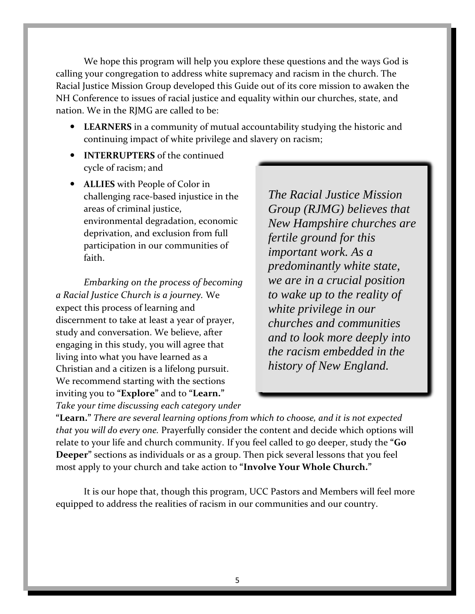We hope this program will help you explore these questions and the ways God is calling your congregation to address white supremacy and racism in the church. The Racial Justice Mission Group developed this Guide out of its core mission to awaken the NH Conference to issues of racial justice and equality within our churches, state, and nation. We in the RJMG are called to be:

- **LEARNERS** in a community of mutual accountability studying the historic and continuing impact of white privilege and slavery on racism;
- **INTERRUPTERS** of the continued cycle of racism; and
- **ALLIES** with People of Color in challenging race-based injustice in the areas of criminal justice, environmental degradation, economic deprivation, and exclusion from full participation in our communities of faith.

*Embarking on the process of becoming a Racial Justice Church is a journey.* We expect this process of learning and discernment to take at least a year of prayer, study and conversation. We believe, after engaging in this study, you will agree that living into what you have learned as a Christian and a citizen is a lifelong pursuit. We recommend starting with the sections inviting you to **"Explore"** and to **"Learn."** *Take your time discussing each category under* 

*The Racial Justice Mission Group (RJMG) believes that New Hampshire churches are fertile ground for this important work. As a predominantly white state, we are in a crucial position to wake up to the reality of white privilege in our churches and communities and to look more deeply into the racism embedded in the history of New England.*

**"Learn."** *There are several learning options from which to choose, and it is not expected that you will do every one.* Prayerfully consider the content and decide which options will relate to your life and church community. If you feel called to go deeper, study the **"Go Deeper"** sections as individuals or as a group. Then pick several lessons that you feel most apply to your church and take action to **"Involve Your Whole Church."**

It is our hope that, though this program, UCC Pastors and Members will feel more equipped to address the realities of racism in our communities and our country.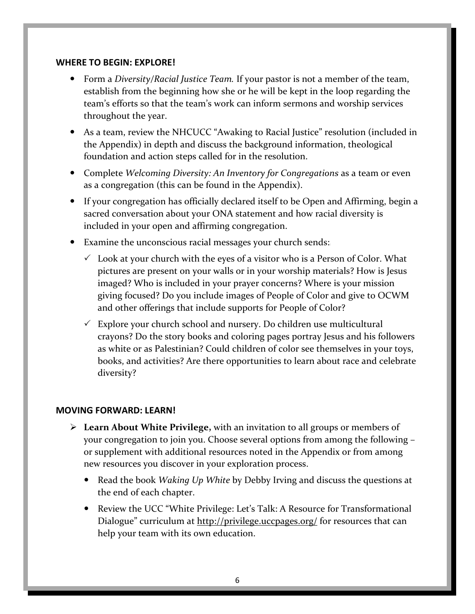#### **WHERE TO BEGIN: EXPLORE!**

- Form a *Diversity/Racial Justice Team.* If your pastor is not a member of the team, establish from the beginning how she or he will be kept in the loop regarding the team's efforts so that the team's work can inform sermons and worship services throughout the year.
- As a team, review the NHCUCC "Awaking to Racial Justice" resolution (included in the Appendix) in depth and discuss the background information, theological foundation and action steps called for in the resolution.
- Complete *Welcoming Diversity: An Inventory for Congregations* as a team or even as a congregation (this can be found in the Appendix).
- If your congregation has officially declared itself to be Open and Affirming, begin a sacred conversation about your ONA statement and how racial diversity is included in your open and affirming congregation.
- Examine the unconscious racial messages your church sends:
	- $\checkmark$  Look at your church with the eyes of a visitor who is a Person of Color. What pictures are present on your walls or in your worship materials? How is Jesus imaged? Who is included in your prayer concerns? Where is your mission giving focused? Do you include images of People of Color and give to OCWM and other offerings that include supports for People of Color?
	- $\checkmark$  Explore your church school and nursery. Do children use multicultural crayons? Do the story books and coloring pages portray Jesus and his followers as white or as Palestinian? Could children of color see themselves in your toys, books, and activities? Are there opportunities to learn about race and celebrate diversity?

#### **MOVING FORWARD: LEARN!**

- **Learn About White Privilege,** with an invitation to all groups or members of your congregation to join you. Choose several options from among the following – or supplement with additional resources noted in the Appendix or from among new resources you discover in your exploration process.
	- Read the book *Waking Up White* by Debby Irving and discuss the questions at the end of each chapter.
	- Review the UCC "White Privilege: Let's Talk: A Resource for Transformational Dialogue" curriculum at<http://privilege.uccpages.org/> for resources that can help your team with its own education.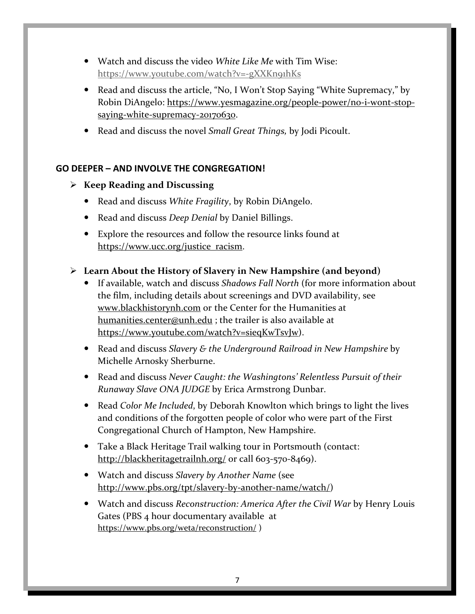- Watch and discuss the video *White Like Me* with Tim Wise: <https://www.youtube.com/watch?v=-gXXKn91hKs>
- Read and discuss the article, "No, I Won't Stop Saying "White Supremacy," by Robin DiAngelo: [https://www.yesmagazine.org/people-power/no-i-wont-stop](https://www.yesmagazine.org/people-power/no-i-wont-stop-saying-white-supremacy-20170630)[saying-white-supremacy-20170630.](https://www.yesmagazine.org/people-power/no-i-wont-stop-saying-white-supremacy-20170630)
- Read and discuss the novel *Small Great Things,* by Jodi Picoult.

# **GO DEEPER – AND INVOLVE THE CONGREGATION!**

- **Keep Reading and Discussing**
	- Read and discuss *White Fragility*, by Robin DiAngelo.
	- Read and discuss *Deep Denial* by Daniel Billings.
	- Explore the resources and follow the resource links found at [https://www.ucc.org/justice\\_racism.](https://www.ucc.org/justice_racism)

# **Learn About the History of Slavery in New Hampshire (and beyond)**

- If available, watch and discuss *Shadows Fall North* (for more information about the film, including details about screenings and DVD availability, see [www.blackhistorynh.com](http://www.blackhistorynh.com/) or the Center for the Humanities at [humanities.center@unh.edu](mailto:humanities.center@unh.edu) ; the trailer is also available at [https://www.youtube.com/watch?v=sieqKwTsvJw\)](https://www.youtube.com/watch?v=sieqKwTsvJw).
- Read and discuss *Slavery & the Underground Railroad in New Hampshire* by Michelle Arnosky Sherburne.
- Read and discuss *Never Caught: the Washingtons' Relentless Pursuit of their Runaway Slave ONA JUDGE* by Erica Armstrong Dunbar.
- Read *Color Me Included*, by Deborah Knowlton which brings to light the lives and conditions of the forgotten people of color who were part of the First Congregational Church of Hampton, New Hampshire.
- Take a Black Heritage Trail walking tour in Portsmouth (contact: <http://blackheritagetrailnh.org/> or call 603-570-8469).
- Watch and discuss *Slavery by Another Name* (see [http://www.pbs.org/tpt/slavery-by-another-name/watch/\)](http://www.pbs.org/tpt/slavery-by-another-name/watch/)
- Watch and discuss *Reconstruction: America After the Civil War* by Henry Louis Gates (PBS 4 hour documentary available at <https://www.pbs.org/weta/reconstruction/> )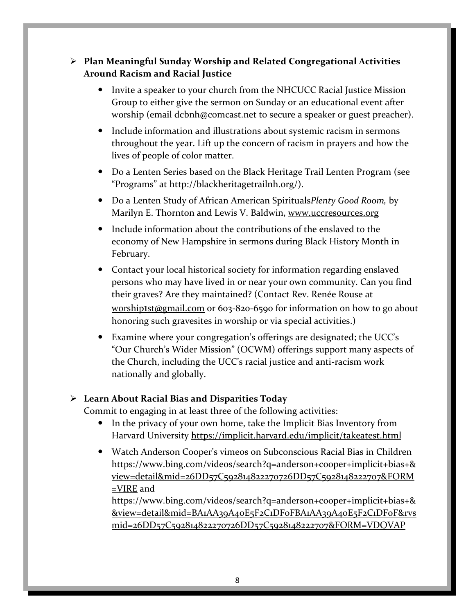### **Plan Meaningful Sunday Worship and Related Congregational Activities Around Racism and Racial Justice**

- Invite a speaker to your church from the NHCUCC Racial Justice Mission Group to either give the sermon on Sunday or an educational event after worship (email [dcbnh@comcast.net](mailto:dcbnh@comcast.net) to secure a speaker or guest preacher).
- Include information and illustrations about systemic racism in sermons throughout the year. Lift up the concern of racism in prayers and how the lives of people of color matter.
- Do a Lenten Series based on the Black Heritage Trail Lenten Program (see "Programs" at [http://blackheritagetrailnh.org/\)](http://blackheritagetrailnh.org/).
- Do a Lenten Study of African American Spirituals*Plenty Good Room,* by Marilyn E. Thornton and Lewis V. Baldwin, [www.uccresources.org](http://www.uccresources.org/)
- Include information about the contributions of the enslaved to the economy of New Hampshire in sermons during Black History Month in February.
- Contact your local historical society for information regarding enslaved persons who may have lived in or near your own community. Can you find their graves? Are they maintained? (Contact Rev. Renée Rouse at [worship1st@gmail.com](mailto:worship1st@gmail.com) or 603-820-6590 for information on how to go about honoring such gravesites in worship or via special activities.)
- Examine where your congregation's offerings are designated; the UCC's "Our Church's Wider Mission" (OCWM) offerings support many aspects of the Church, including the UCC's racial justice and anti-racism work nationally and globally.

### **Learn About Racial Bias and Disparities Today**

Commit to engaging in at least three of the following activities:

- In the privacy of your own home, take the Implicit Bias Inventory from Harvard University <https://implicit.harvard.edu/implicit/takeatest.html>
- Watch Anderson Cooper's vimeos on Subconscious Racial Bias in Children [https://www.bing.com/videos/search?q=anderson+cooper+implicit+bias+&](https://www.bing.com/videos/search?q=anderson+cooper+implicit+bias+&view=detail&mid=26DD57C592814822270726DD57C5928148222707&FORM=VIRE) [view=detail&mid=26DD57C592814822270726DD57C5928148222707&FORM](https://www.bing.com/videos/search?q=anderson+cooper+implicit+bias+&view=detail&mid=26DD57C592814822270726DD57C5928148222707&FORM=VIRE) [=VIRE](https://www.bing.com/videos/search?q=anderson+cooper+implicit+bias+&view=detail&mid=26DD57C592814822270726DD57C5928148222707&FORM=VIRE) and

[https://www.bing.com/videos/search?q=anderson+cooper+implicit+bias+&](https://www.bing.com/videos/search?q=anderson+cooper+implicit+bias+&&view=detail&mid=BA1AA39A40E5F2C1DF0FBA1AA39A40E5F2C1DF0F&rvsmid=26DD57C592814822270726DD57C5928148222707&FORM=VDQVAP) [&view=detail&mid=BA1AA39A40E5F2C1DF0FBA1AA39A40E5F2C1DF0F&rvs](https://www.bing.com/videos/search?q=anderson+cooper+implicit+bias+&&view=detail&mid=BA1AA39A40E5F2C1DF0FBA1AA39A40E5F2C1DF0F&rvsmid=26DD57C592814822270726DD57C5928148222707&FORM=VDQVAP) [mid=26DD57C592814822270726DD57C5928148222707&FORM=VDQVAP](https://www.bing.com/videos/search?q=anderson+cooper+implicit+bias+&&view=detail&mid=BA1AA39A40E5F2C1DF0FBA1AA39A40E5F2C1DF0F&rvsmid=26DD57C592814822270726DD57C5928148222707&FORM=VDQVAP)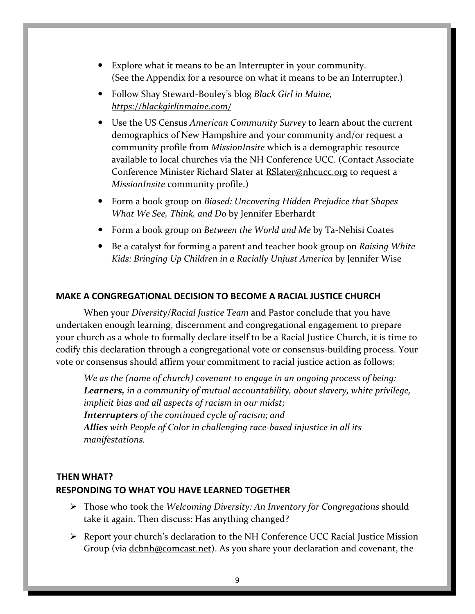- Explore what it means to be an Interrupter in your community. (See the Appendix for a resource on what it means to be an Interrupter.)
- Follow Shay Steward-Bouley's blog *Black Girl in Maine, <https://blackgirlinmaine.com/>*
- Use the US Census *American Community Survey* to learn about the current demographics of New Hampshire and your community and/or request a community profile from *MissionInsite* which is a demographic resource available to local churches via the NH Conference UCC. (Contact Associate Conference Minister Richard Slater at [RSlater@nhcucc.org](mailto:RSlater@nhcucc.org) to request a *MissionInsite* community profile.)
- Form a book group on *Biased: Uncovering Hidden Prejudice that Shapes What We See, Think, and Do* by Jennifer Eberhardt
- Form a book group on *Between the World and Me* by Ta-Nehisi Coates
- Be a catalyst for forming a parent and teacher book group on *Raising White Kids: Bringing Up Children in a Racially Unjust America* by Jennifer Wise

#### **MAKE A CONGREGATIONAL DECISION TO BECOME A RACIAL JUSTICE CHURCH**

When your *Diversity/Racial Justice Team* and Pastor conclude that you have undertaken enough learning, discernment and congregational engagement to prepare your church as a whole to formally declare itself to be a Racial Justice Church, it is time to codify this declaration through a congregational vote or consensus-building process. Your vote or consensus should affirm your commitment to racial justice action as follows:

*We as the (name of church) covenant to engage in an ongoing process of being: Learners, in a community of mutual accountability, about slavery, white privilege, implicit bias and all aspects of racism in our midst; Interrupters of the continued cycle of racism; and Allies with People of Color in challenging race-based injustice in all its manifestations.*

### **THEN WHAT? RESPONDING TO WHAT YOU HAVE LEARNED TOGETHER**

- Those who took the *Welcoming Diversity: An Inventory for Congregations* should take it again. Then discuss: Has anything changed?
- Report your church's declaration to the NH Conference UCC Racial Justice Mission Group (via [dcbnh@comcast.net\)](mailto:dcbnh@comcast.net). As you share your declaration and covenant, the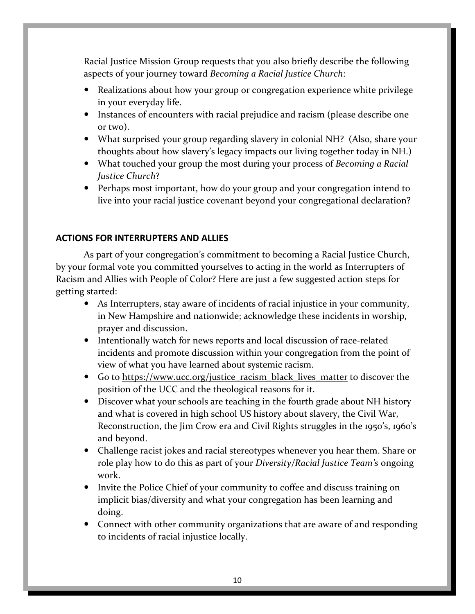Racial Justice Mission Group requests that you also briefly describe the following aspects of your journey toward *Becoming a Racial Justice Church*:

- Realizations about how your group or congregation experience white privilege in your everyday life.
- Instances of encounters with racial prejudice and racism (please describe one or two).
- What surprised your group regarding slavery in colonial NH? (Also, share your thoughts about how slavery's legacy impacts our living together today in NH.)
- What touched your group the most during your process of *Becoming a Racial Justice Church*?
- Perhaps most important, how do your group and your congregation intend to live into your racial justice covenant beyond your congregational declaration?

### **ACTIONS FOR INTERRUPTERS AND ALLIES**

As part of your congregation's commitment to becoming a Racial Justice Church, by your formal vote you committed yourselves to acting in the world as Interrupters of Racism and Allies with People of Color? Here are just a few suggested action steps for getting started:

- As Interrupters, stay aware of incidents of racial injustice in your community, in New Hampshire and nationwide; acknowledge these incidents in worship, prayer and discussion.
- Intentionally watch for news reports and local discussion of race-related incidents and promote discussion within your congregation from the point of view of what you have learned about systemic racism.
- Go to [https://www.ucc.org/justice\\_racism\\_black\\_lives\\_matter](https://www.ucc.org/justice_racism_black_lives_matter) to discover the position of the UCC and the theological reasons for it.
- Discover what your schools are teaching in the fourth grade about NH history and what is covered in high school US history about slavery, the Civil War, Reconstruction, the Jim Crow era and Civil Rights struggles in the 1950's, 1960's and beyond.
- Challenge racist jokes and racial stereotypes whenever you hear them. Share or role play how to do this as part of your *Diversity/Racial Justice Team's* ongoing work.
- Invite the Police Chief of your community to coffee and discuss training on implicit bias/diversity and what your congregation has been learning and doing.
- Connect with other community organizations that are aware of and responding to incidents of racial injustice locally.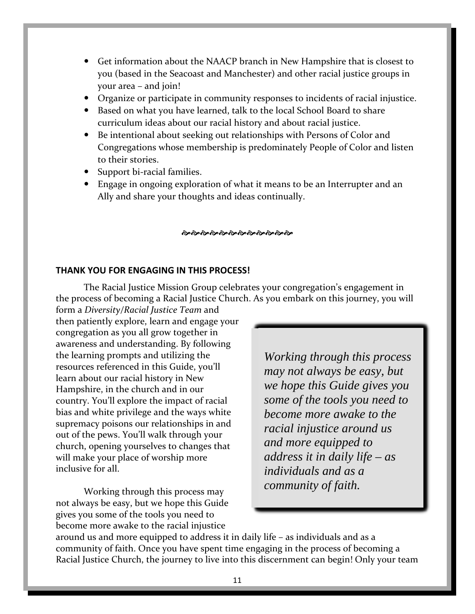- Get information about the NAACP branch in New Hampshire that is closest to you (based in the Seacoast and Manchester) and other racial justice groups in your area – and join!
- Organize or participate in community responses to incidents of racial injustice.
- Based on what you have learned, talk to the local School Board to share curriculum ideas about our racial history and about racial justice.
- Be intentional about seeking out relationships with Persons of Color and Congregations whose membership is predominately People of Color and listen to their stories.
- Support bi-racial families.
- Engage in ongoing exploration of what it means to be an Interrupter and an Ally and share your thoughts and ideas continually.

જીજીજીજીજીજીજીજીજીજીજીજી

#### **THANK YOU FOR ENGAGING IN THIS PROCESS!**

The Racial Justice Mission Group celebrates your congregation's engagement in the process of becoming a Racial Justice Church. As you embark on this journey, you will

form a *Diversity/Racial Justice Team* and then patiently explore, learn and engage your congregation as you all grow together in awareness and understanding. By following the learning prompts and utilizing the resources referenced in this Guide, you'll learn about our racial history in New Hampshire, in the church and in our country. You'll explore the impact of racial bias and white privilege and the ways white supremacy poisons our relationships in and out of the pews. You'll walk through your church, opening yourselves to changes that will make your place of worship more inclusive for all.

Working through this process may not always be easy, but we hope this Guide gives you some of the tools you need to become more awake to the racial injustice

*Working through this process may not always be easy, but we hope this Guide gives you some of the tools you need to become more awake to the racial injustice around us and more equipped to address it in daily life – as individuals and as a community of faith.*

around us and more equipped to address it in daily life – as individuals and as a community of faith. Once you have spent time engaging in the process of becoming a Racial Justice Church, the journey to live into this discernment can begin! Only your team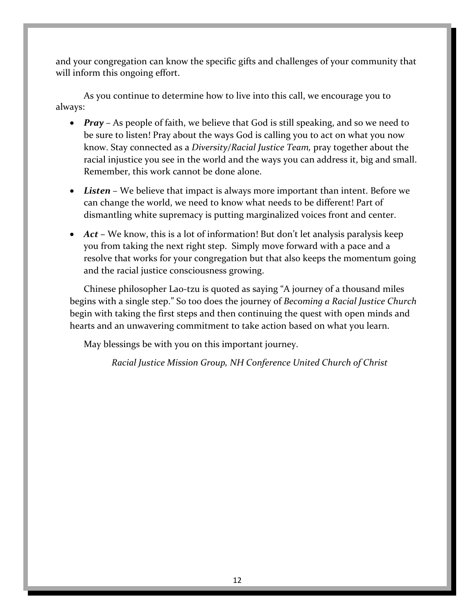and your congregation can know the specific gifts and challenges of your community that will inform this ongoing effort.

As you continue to determine how to live into this call, we encourage you to always:

- *Pray*  As people of faith, we believe that God is still speaking, and so we need to be sure to listen! Pray about the ways God is calling you to act on what you now know. Stay connected as a *Diversity/Racial Justice Team,* pray together about the racial injustice you see in the world and the ways you can address it, big and small. Remember, this work cannot be done alone.
- *Listen* We believe that impact is always more important than intent. Before we can change the world, we need to know what needs to be different! Part of dismantling white supremacy is putting marginalized voices front and center.
- *Act* We know, this is a lot of information! But don't let analysis paralysis keep you from taking the next right step. Simply move forward with a pace and a resolve that works for your congregation but that also keeps the momentum going and the racial justice consciousness growing.

Chinese philosopher Lao-tzu is quoted as saying "A journey of a thousand miles begins with a single step." So too does the journey of *Becoming a Racial Justice Church* begin with taking the first steps and then continuing the quest with open minds and hearts and an unwavering commitment to take action based on what you learn.

May blessings be with you on this important journey.

*Racial Justice Mission Group, NH Conference United Church of Christ*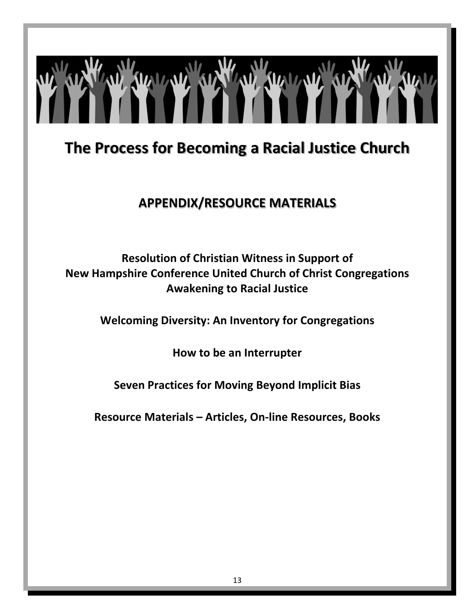

# **The Process for Becoming a Racial Justice Church**

# **APPENDIX/RESOURCE MATERIALS**

**Resolution of Christian Witness in Support of New Hampshire Conference United Church of Christ Congregations Awakening to Racial Justice**

**Welcoming Diversity: An Inventory for Congregations**

**How to be an Interrupter**

**Seven Practices for Moving Beyond Implicit Bias**

**Resource Materials – Articles, On-line Resources, Books**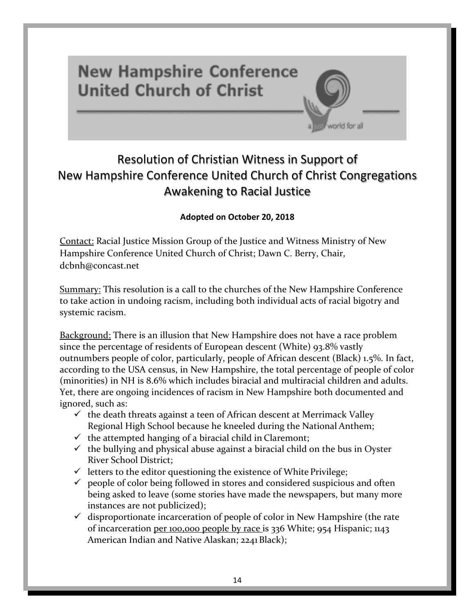

# Resolution of Christian Witness in Support of New Hampshire Conference United Church of Christ Congregations Awakening to Racial Justice

world for all

### **Adopted on October 20, 2018**

Contact: Racial Justice Mission Group of the Justice and Witness Ministry of New Hampshire Conference United Church of Christ; Dawn C. Berry, Chair, [dcbnh@concast.net](mailto:dcbnh@concast.net)

Summary: This resolution is a call to the churches of the New Hampshire Conference to take action in undoing racism, including both individual acts of racial bigotry and systemic racism.

Background: There is an illusion that New Hampshire does not have a race problem since the percentage of residents of European descent (White) 93.8% vastly outnumbers people of color, particularly, people of African descent (Black) 1.5%. In fact, according to the USA census, in New Hampshire, the total percentage of people of color (minorities) in NH is 8.6% which includes biracial and multiracial children and adults. Yet, there are ongoing incidences of racism in New Hampshire both documented and ignored, such as:

- $\checkmark$  the death threats against a teen of African descent at Merrimack Valley Regional High School because he kneeled during the National Anthem;
- $\checkmark$  the attempted hanging of a biracial child in Claremont;
- $\checkmark$  the bullying and physical abuse against a biracial child on the bus in Oyster River School District;
- $\checkmark$  letters to the editor questioning the existence of White Privilege;
- $\checkmark$  people of color being followed in stores and considered suspicious and often being asked to leave (some stories have made the newspapers, but many more instances are not publicized);
- $\checkmark$  disproportionate incarceration of people of color in New Hampshire (the rate of incarceration per 100,000 people by race is 336 White; 954 Hispanic; 1143 American Indian and Native Alaskan; 2241 Black);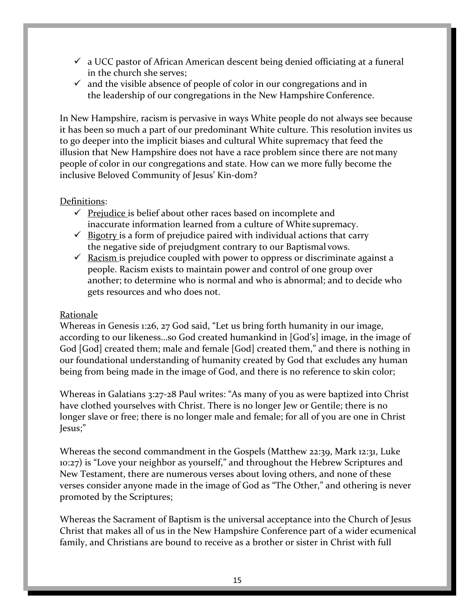- $\checkmark$  a UCC pastor of African American descent being denied officiating at a funeral in the church she serves;
- $\checkmark$  and the visible absence of people of color in our congregations and in the leadership of our congregations in the New Hampshire Conference.

In New Hampshire, racism is pervasive in ways White people do not always see because it has been so much a part of our predominant White culture. This resolution invites us to go deeper into the implicit biases and cultural White supremacy that feed the illusion that New Hampshire does not have a race problem since there are notmany people of color in our congregations and state. How can we more fully become the inclusive Beloved Community of Jesus' Kin-dom?

#### Definitions:

- $\checkmark$  Prejudice is belief about other races based on incomplete and inaccurate information learned from a culture of White supremacy.
- $\checkmark$  Bigotry is a form of prejudice paired with individual actions that carry the negative side of prejudgment contrary to our Baptismal vows.
- $\checkmark$  Racism is prejudice coupled with power to oppress or discriminate against a people. Racism exists to maintain power and control of one group over another; to determine who is normal and who is abnormal; and to decide who gets resources and who does not.

#### Rationale

Whereas in Genesis 1:26, 27 God said, "Let us bring forth humanity in our image, according to our likeness…so God created humankind in [God's] image, in the image of God [God] created them; male and female [God] created them," and there is nothing in our foundational understanding of humanity created by God that excludes any human being from being made in the image of God, and there is no reference to skin color;

Whereas in Galatians 3:27-28 Paul writes: "As many of you as were baptized into Christ have clothed yourselves with Christ. There is no longer Jew or Gentile; there is no longer slave or free; there is no longer male and female; for all of you are one in Christ Jesus;"

Whereas the second commandment in the Gospels (Matthew 22:39, Mark 12:31, Luke 10:27) is "Love your neighbor as yourself," and throughout the Hebrew Scriptures and New Testament, there are numerous verses about loving others, and none of these verses consider anyone made in the image of God as "The Other," and othering is never promoted by the Scriptures;

Whereas the Sacrament of Baptism is the universal acceptance into the Church of Jesus Christ that makes all of us in the New Hampshire Conference part of a wider ecumenical family, and Christians are bound to receive as a brother or sister in Christ with full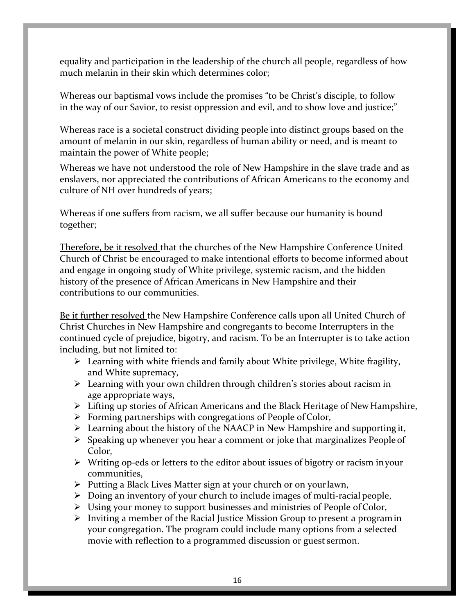equality and participation in the leadership of the church all people, regardless of how much melanin in their skin which determines color;

Whereas our baptismal vows include the promises "to be Christ's disciple, to follow in the way of our Savior, to resist oppression and evil, and to show love and justice;"

Whereas race is a societal construct dividing people into distinct groups based on the amount of melanin in our skin, regardless of human ability or need, and is meant to maintain the power of White people;

Whereas we have not understood the role of New Hampshire in the slave trade and as enslavers, nor appreciated the contributions of African Americans to the economy and culture of NH over hundreds of years;

Whereas if one suffers from racism, we all suffer because our humanity is bound together;

Therefore, be it resolved that the churches of the New Hampshire Conference United Church of Christ be encouraged to make intentional efforts to become informed about and engage in ongoing study of White privilege, systemic racism, and the hidden history of the presence of African Americans in New Hampshire and their contributions to our communities.

Be it further resolved the New Hampshire Conference calls upon all United Church of Christ Churches in New Hampshire and congregants to become Interrupters in the continued cycle of prejudice, bigotry, and racism. To be an Interrupter is to take action including, but not limited to:

- $\triangleright$  Learning with white friends and family about White privilege, White fragility, and White supremacy,
- Exercise 2 Learning with your own children through children's stories about racism in age appropriate ways,
- $\triangleright$  Lifting up stories of African Americans and the Black Heritage of New Hampshire,
- $\triangleright$  Forming partnerships with congregations of People of Color,
- $\triangleright$  Learning about the history of the NAACP in New Hampshire and supporting it,
- $\triangleright$  Speaking up whenever you hear a comment or joke that marginalizes People of Color,
- $\triangleright$  Writing op-eds or letters to the editor about issues of bigotry or racism in your communities,
- $\triangleright$  Putting a Black Lives Matter sign at your church or on your lawn,
- $\triangleright$  Doing an inventory of your church to include images of multi-racial people,
- $\triangleright$  Using your money to support businesses and ministries of People of Color,
- $\triangleright$  Inviting a member of the Racial Justice Mission Group to present a programin your congregation. The program could include many options from a selected movie with reflection to a programmed discussion or guest sermon.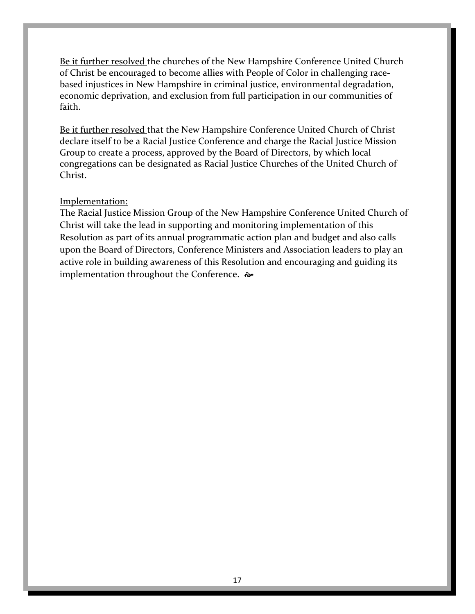Be it further resolved the churches of the New Hampshire Conference United Church of Christ be encouraged to become allies with People of Color in challenging racebased injustices in New Hampshire in criminal justice, environmental degradation, economic deprivation, and exclusion from full participation in our communities of faith.

Be it further resolved that the New Hampshire Conference United Church of Christ declare itself to be a Racial Justice Conference and charge the Racial Justice Mission Group to create a process, approved by the Board of Directors, by which local congregations can be designated as Racial Justice Churches of the United Church of Christ.

#### Implementation:

The Racial Justice Mission Group of the New Hampshire Conference United Church of Christ will take the lead in supporting and monitoring implementation of this Resolution as part of its annual programmatic action plan and budget and also calls upon the Board of Directors, Conference Ministers and Association leaders to play an active role in building awareness of this Resolution and encouraging and guiding its implementation throughout the Conference.  $\rightarrow$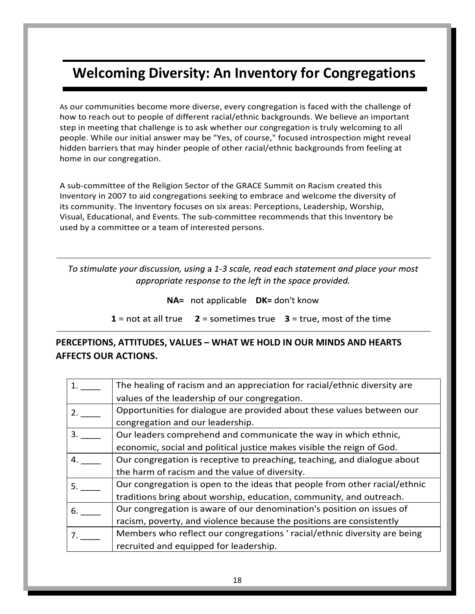# **Welcoming Diversity: An Inventory for Congregations**

As our communities become more diverse, every congregation is faced with the challenge of how to reach out to people of different racial/ethnic backgrounds. We believe an important step in meeting that challenge is to ask whether our congregation is truly welcoming to all people. While our initial answer may be "Yes, of course," focused introspection might reveal hidden barriers that may hinder people of other racial/ethnic backgrounds from feeling at home in our congregation.

A sub-committee of the Religion Sector of the GRACE Summit on Racism created this Inventory in 2007 to aid congregations seeking to embrace and welcome the diversity of its community. The Inventory focuses on six areas: Perceptions, Leadership, Worship, Visual, Educational, and Events. The sub-committee recommends that this Inventory be used by a committee or a team of interested persons.

#### To stimulate your discussion, using a 1-3 scale, read each statement and place your most appropriate response to the left in the space provided.

NA= not applicable DK= don't know

 $1 = not at all true$  $2 =$  sometimes true  $3 =$  true, most of the time

### **PERCEPTIONS, ATTITUDES, VALUES – WHAT WE HOLD IN OUR MINDS AND HEARTS AFFECTS OUR ACTIONS.**

|    | The healing of racism and an appreciation for racial/ethnic diversity are  |  |
|----|----------------------------------------------------------------------------|--|
|    | values of the leadership of our congregation.                              |  |
| 2. | Opportunities for dialogue are provided about these values between our     |  |
|    | congregation and our leadership.                                           |  |
| 3. | Our leaders comprehend and communicate the way in which ethnic,            |  |
|    | economic, social and political justice makes visible the reign of God.     |  |
| 4. | Our congregation is receptive to preaching, teaching, and dialogue about   |  |
|    | the harm of racism and the value of diversity.                             |  |
| 5. | Our congregation is open to the ideas that people from other racial/ethnic |  |
|    | traditions bring about worship, education, community, and outreach.        |  |
| 6. | Our congregation is aware of our denomination's position on issues of      |  |
|    | racism, poverty, and violence because the positions are consistently       |  |
|    | Members who reflect our congregations 'racial/ethnic diversity are being   |  |
|    | recruited and equipped for leadership.                                     |  |
|    |                                                                            |  |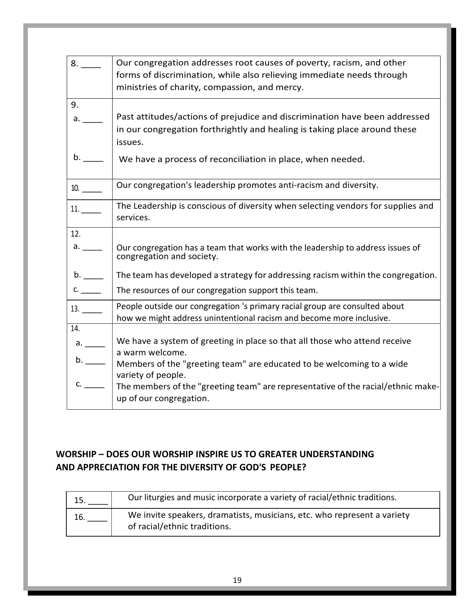| 8.             | Our congregation addresses root causes of poverty, racism, and other<br>forms of discrimination, while also relieving immediate needs through<br>ministries of charity, compassion, and mercy. |
|----------------|------------------------------------------------------------------------------------------------------------------------------------------------------------------------------------------------|
| 9.<br>a.       | Past attitudes/actions of prejudice and discrimination have been addressed<br>in our congregation forthrightly and healing is taking place around these<br>issues.                             |
| $\mathsf{b}$ . | We have a process of reconciliation in place, when needed.                                                                                                                                     |
| 10.            | Our congregation's leadership promotes anti-racism and diversity.                                                                                                                              |
| 11.            | The Leadership is conscious of diversity when selecting vendors for supplies and<br>services.                                                                                                  |
| 12.            |                                                                                                                                                                                                |
| a.             | Our congregation has a team that works with the leadership to address issues of<br>congregation and society.                                                                                   |
| $\mathsf{b}$ . | The team has developed a strategy for addressing racism within the congregation.                                                                                                               |
| c.             | The resources of our congregation support this team.                                                                                                                                           |
| 13.            | People outside our congregation 's primary racial group are consulted about<br>how we might address unintentional racism and become more inclusive.                                            |
| 14.            |                                                                                                                                                                                                |
| a.             | We have a system of greeting in place so that all those who attend receive                                                                                                                     |
| b.             | a warm welcome.<br>Members of the "greeting team" are educated to be welcoming to a wide<br>variety of people.                                                                                 |
| c.             | The members of the "greeting team" are representative of the racial/ethnic make-<br>up of our congregation.                                                                                    |

# **WORSHIP – DOES OUR WORSHIP INSPIRE US TO GREATER UNDERSTANDING AND APPRECIATION FOR THE DIVERSITY OF GOD'S PEOPLE?**

| 15  | Our liturgies and music incorporate a variety of racial/ethnic traditions.                              |
|-----|---------------------------------------------------------------------------------------------------------|
| 16. | We invite speakers, dramatists, musicians, etc. who represent a variety<br>of racial/ethnic traditions. |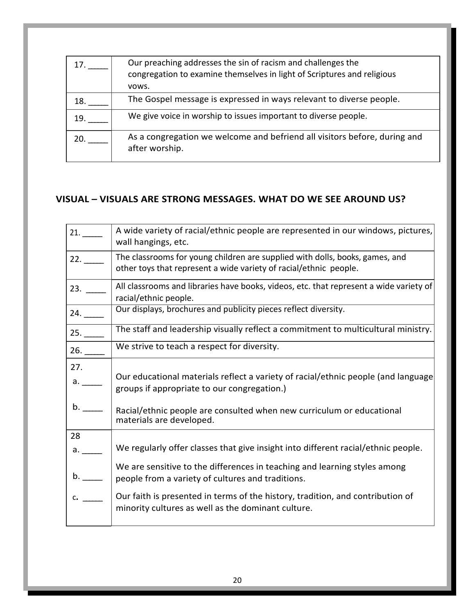| 17. | Our preaching addresses the sin of racism and challenges the<br>congregation to examine themselves in light of Scriptures and religious<br>vows. |
|-----|--------------------------------------------------------------------------------------------------------------------------------------------------|
| 18. | The Gospel message is expressed in ways relevant to diverse people.                                                                              |
| 19. | We give voice in worship to issues important to diverse people.                                                                                  |
| 20. | As a congregation we welcome and befriend all visitors before, during and<br>after worship.                                                      |

### **VISUAL – VISUALS ARE STRONG MESSAGES. WHAT DO WE SEE AROUND US?**

|                 | A wide variety of racial/ethnic people are represented in our windows, pictures,<br>wall hangings, etc.                                           |
|-----------------|---------------------------------------------------------------------------------------------------------------------------------------------------|
| 22.             | The classrooms for young children are supplied with dolls, books, games, and<br>other toys that represent a wide variety of racial/ethnic people. |
| 23.             | All classrooms and libraries have books, videos, etc. that represent a wide variety of<br>racial/ethnic people.                                   |
| 24.             | Our displays, brochures and publicity pieces reflect diversity.                                                                                   |
|                 | The staff and leadership visually reflect a commitment to multicultural ministry.                                                                 |
| 26.             | We strive to teach a respect for diversity.                                                                                                       |
| 27.<br>a.       | Our educational materials reflect a variety of racial/ethnic people (and language<br>groups if appropriate to our congregation.)                  |
| b. D            | Racial/ethnic people are consulted when new curriculum or educational<br>materials are developed.                                                 |
| 28              |                                                                                                                                                   |
| a. <sub>1</sub> | We regularly offer classes that give insight into different racial/ethnic people.                                                                 |
|                 | We are sensitive to the differences in teaching and learning styles among<br>people from a variety of cultures and traditions.                    |
| $C_{\bullet}$   | Our faith is presented in terms of the history, tradition, and contribution of<br>minority cultures as well as the dominant culture.              |
|                 |                                                                                                                                                   |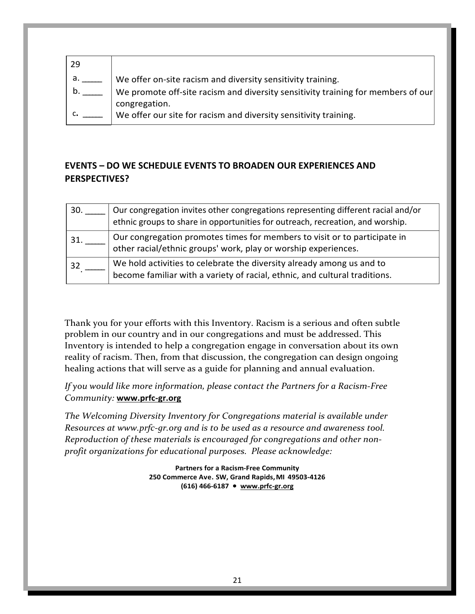| 29 |                                                                                                   |
|----|---------------------------------------------------------------------------------------------------|
| а. | We offer on-site racism and diversity sensitivity training.                                       |
| b. | We promote off-site racism and diversity sensitivity training for members of our<br>congregation. |
|    | We offer our site for racism and diversity sensitivity training.                                  |

### **EVENTS – DO WE SCHEDULE EVENTS TO BROADEN OUR EXPERIENCES AND PERSPECTIVES?**

| 30. | Our congregation invites other congregations representing different racial and/or<br>ethnic groups to share in opportunities for outreach, recreation, and worship. |
|-----|---------------------------------------------------------------------------------------------------------------------------------------------------------------------|
| 31. | Our congregation promotes times for members to visit or to participate in<br>other racial/ethnic groups' work, play or worship experiences.                         |
| 32  | We hold activities to celebrate the diversity already among us and to<br>become familiar with a variety of racial, ethnic, and cultural traditions.                 |

Thank you for your efforts with this Inventory. Racism is a serious and often subtle problem in our country and in our congregations and must be addressed. This Inventory is intended to help a congregation engage in conversation about its own reality of racism. Then, from that discussion, the congregation can design ongoing healing actions that will serve as a guide for planning and annual evaluation.

*If you would like more information, please contact the Partners for a Racism-Free Community:* **[www.prfc-gr.org](http://www.prfc-gr.org/)**

*The Welcoming Diversity Inventory for Congregations material is available under Resources at [www.prfc-gr.org](http://www.prfc-gr.org/) and is to be used as a resource and awareness tool. Reproduction of these materials is encouraged for congregations and other nonprofit organizations for educational purposes. Please acknowledge:*

> **Partners for a Racism-Free Community 250 Commerce Ave. SW, Grand Rapids,MI 49503-4126 (616) 466-6187 [www.prfc-gr.org](http://www.prfc-gr.org/)**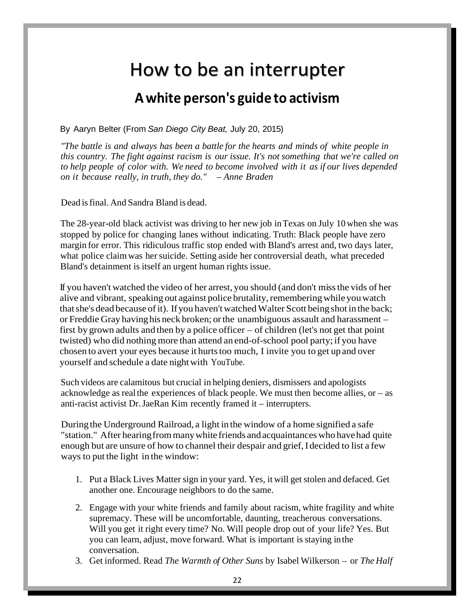# How to be an interrupter

# **A white person's guide to activism**

By Aaryn Belter (From *San Diego City Beat,* July 20, 2015)

*"The battle is and always has been a battle for the hearts and minds of white people in this country. The fight against racism is our issue. It's not something that we're called on to help people of color with. We need to become involved with it as if our lives depended on it because really, in truth, they do." – Anne Braden*

Dead isfinal. And Sandra Bland is dead.

The 28-year-old black activist was driving to her new job inTexas on July 10when she was stopped by police for changing lanes without indicating. Truth: Black people have zero margin for error. This ridiculous traffic stop ended with Bland's arrest and, two days later, what police claim was her suicide. Setting aside her controversial death, what preceded Bland's detainment is itself an urgent human rights issue.

If you haven't watched the video of her arrest, you should (and don't missthe vids of her alive and vibrant, speaking out against police brutality, remembering while you watch that she's dead because of it). If you haven't watched Walter Scott being shot in the back; or Freddie Gray havinghis neck broken; orthe unambiguous assault and harassment – first by grown adults and then by a police officer – of children (let's not get that point twisted) who did nothing more than attend an end-of-school pool party; if you have chosen to avert your eyes because it hurts too much, I invite you to get up and over yourself and schedule a date night with YouTube.

Such videos are calamitous but crucial in helping deniers, dismissers and apologists acknowledge as real the experiences of black people. We must then become allies, or  $-$  as anti-racist activist Dr.JaeRan Kim recently framed it – interrupters.

During the Underground Railroad, a light in the window of a home signified a safe "station." After hearing from many white friends and acquaintances who have had quite enough but are unsure of how to channel their despair and grief,Idecided to list a few ways to put the light in the window:

- 1. Put a Black Lives Matter sign in your yard. Yes, it will get stolen and defaced. Get another one. Encourage neighbors to do the same.
- 2. Engage with your white friends and family about racism, white fragility and white supremacy. These will be uncomfortable, daunting, treacherous conversations. Will you get it right every time? No. Will people drop out of your life? Yes. But you can learn, adjust, move forward. What is important is staying inthe conversation.
- 3. Get informed. Read *The Warmth of Other Suns* by Isabel Wilkerson or *The Half*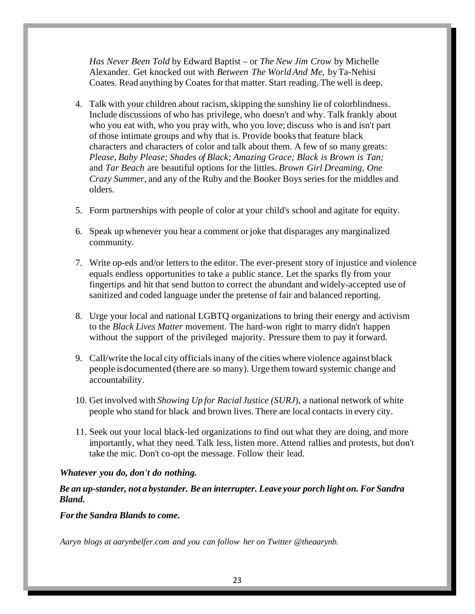*Has Never Been Told* by Edward Baptist – or *The New Jim Crow* by Michelle Alexander. Get knocked out with *Between The WorldAnd Me,* byTa-Nehisi Coates. Read anything by Coates for that matter. Start reading. The well is deep.

- 4. Talk with your children about racism,skipping the sunshiny lie of colorblindness. Include discussions of who has privilege, who doesn't and why. Talk frankly about who you eat with, who you pray with, who you love; discuss who is and isn't part of those intimate groups and why that is. Provide books that feature black characters and characters of color and talk about them. A few of so many greats: *Please, Baby Please; Shades of Black; Amazing Grace; Black is Brown is Tan;* and *Tar Beach* are beautiful options for the littles. *Brown Girl Dreaming, One Crazy Summer,* and any of the Ruby and the Booker Boys series for the middles and olders.
- 5. Form partnerships with people of color at your child's school and agitate for equity.
- 6. Speak up whenever you hear a comment orjoke that disparages any marginalized community.
- 7. Write op-eds and/or letters to the editor. The ever-present story of injustice and violence equals endless opportunities to take a public stance. Let the sparks fly from your fingertips and hit that send button to correct the abundant and widely-accepted use of sanitized and coded language under the pretense of fair and balanced reporting.
- 8. Urge your local and national LGBTQ organizations to bring their energy and activism to the *Black Live.s Matter* movement. The hard-won right to marry didn't happen without the support of the privileged majority. Pressure them to pay it forward.
- 9. Call/write the local city officials inany of the cities where violence against black people isdocumented (there are so many). Urge them toward systemic change and accountability.
- 10. Get involved with *Showing Up for Racial Justice (SURJ*), a national network of white people who stand for black and brown lives. There are local contacts in every city.
- 11. Seek out your local black-led organizations to find out what they are doing, and more importantly, what they need.Talk less, listen more. Attend rallies and protests, but don't take the mic. Don't co-opt the message. Follow their lead.

#### *Whatever you do, don't do nothing.*

#### *Be an up-stander, not a bystander. Be an interrupter. Leave your porch light on. For Sandra Bland.*

#### *Forthe Sandra Blands to come.*

*Aaryn blogs at aarynbelfer.com and you can follow her on Twitter @theaarynb.*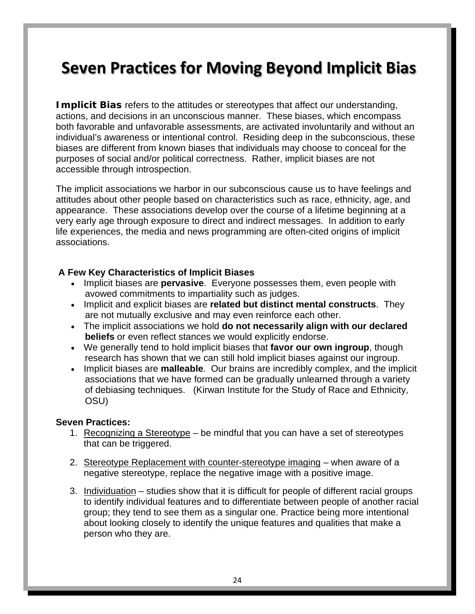# **Seven Practices for Moving Beyond Implicit Bias**

**Implicit Bias** refers to the attitudes or stereotypes that affect our understanding, actions, and decisions in an unconscious manner. These biases, which encompass both favorable and unfavorable assessments, are activated involuntarily and without an individual's awareness or intentional control. Residing deep in the subconscious, these biases are different from known biases that individuals may choose to conceal for the purposes of social and/or political correctness. Rather, implicit biases are not accessible through introspection.

The implicit associations we harbor in our subconscious cause us to have feelings and attitudes about other people based on characteristics such as race, ethnicity, age, and appearance. These associations develop over the course of a lifetime beginning at a very early age through exposure to direct and indirect messages. In addition to early life experiences, the media and news programming are often-cited origins of implicit associations.

#### **A Few Key Characteristics of Implicit Biases**

- Implicit biases are **pervasive**. Everyone possesses them, even people with avowed commitments to impartiality such as judges.
- Implicit and explicit biases are **related but distinct mental constructs**. They are not mutually exclusive and may even reinforce each other.
- The implicit associations we hold **do not necessarily align with our declared beliefs** or even reflect stances we would explicitly endorse.
- We generally tend to hold implicit biases that **favor our own ingroup**, though research has shown that we can still hold implicit biases against our ingroup.
- Implicit biases are **malleable**. Our brains are incredibly complex, and the implicit associations that we have formed can be gradually unlearned through a variety of debiasing techniques. (Kirwan Institute for the Study of Race and Ethnicity, OSU)

#### **Seven Practices:**

- 1. Recognizing a Stereotype be mindful that you can have a set of stereotypes that can be triggered.
- 2. Stereotype Replacement with counter-stereotype imaging when aware of a negative stereotype, replace the negative image with a positive image.
- 3. Individuation studies show that it is difficult for people of different racial groups to identify individual features and to differentiate between people of another racial group; they tend to see them as a singular one. Practice being more intentional about looking closely to identify the unique features and qualities that make a person who they are.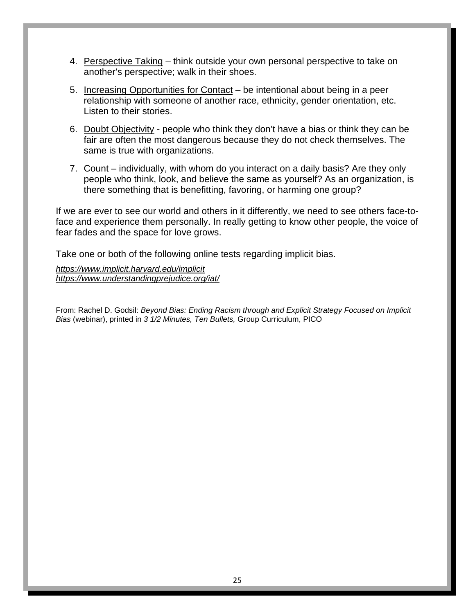- 4. Perspective Taking think outside your own personal perspective to take on another's perspective; walk in their shoes.
- 5. Increasing Opportunities for Contact be intentional about being in a peer relationship with someone of another race, ethnicity, gender orientation, etc. Listen to their stories.
- 6. Doubt Objectivity people who think they don't have a bias or think they can be fair are often the most dangerous because they do not check themselves. The same is true with organizations.
- 7. Count individually, with whom do you interact on a daily basis? Are they only people who think, look, and believe the same as yourself? As an organization, is there something that is benefitting, favoring, or harming one group?

If we are ever to see our world and others in it differently, we need to see others face-toface and experience them personally. In really getting to know other people, the voice of fear fades and the space for love grows.

Take one or both of the following online tests regarding implicit bias.

*<https://www.implicit.harvard.edu/implicit> <https://www.understandingprejudice.org/iat/>*

From: Rachel D. Godsil: *Beyond Bias: Ending Racism through and Explicit Strategy Focused on Implicit Bias* (webinar), printed in *3 1/2 Minutes, Ten Bullets,* Group Curriculum, PICO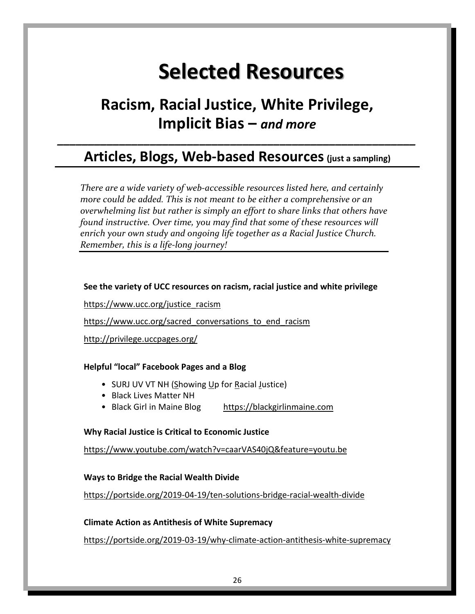# **Selected Resources**

# **Racism, Racial Justice, White Privilege, Implicit Bias –** *and more*

# Articles, Blogs, Web-based Resources (just a sampling)

*\_\_\_\_\_\_\_\_\_\_\_\_\_\_\_\_\_\_\_\_\_\_\_\_\_\_\_\_\_\_\_\_\_\_\_\_\_\_\_\_\_\_\_\_\_\_\_\_\_\_\_\_\_\_\_\_\_\_*

*There are a wide variety of web-accessible resources listed here, and certainly more could be added. This is not meant to be either a comprehensive or an overwhelming list but rather is simply an effort to share links that others have found instructive. Over time, you may find that some of these resources will enrich your own study and ongoing life together as a Racial Justice Church. Remember, this is a life-long journey!*

#### **See the variety of UCC resources on racism, racial justice and white privilege**

[https://www.ucc.org/justice\\_racism](https://www.ucc.org/justice_racism)

https://www.ucc.org/sacred conversations to end racism

<http://privilege.uccpages.org/>

#### **Helpful "local" Facebook Pages and a Blog**

- SURJ UV VT NH (Showing Up for Racial Justice)
- Black Lives Matter NH
- Black Girl in Maine Blog [https://blackgirlinmaine.com](https://blackgirlinmaine.com/)

#### **Why Racial Justice is Critical to Economic Justice**

<https://www.youtube.com/watch?v=caarVAS40jQ&feature=youtu.be>

#### **Ways to Bridge the Racial Wealth Divide**

<https://portside.org/2019-04-19/ten-solutions-bridge-racial-wealth-divide>

#### **Climate Action as Antithesis of White Supremacy**

<https://portside.org/2019-03-19/why-climate-action-antithesis-white-supremacy>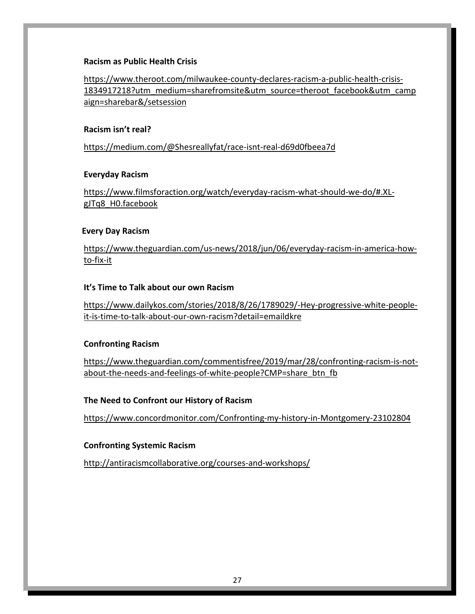#### **Racism as Public Health Crisis**

[https://www.theroot.com/milwaukee-county-declares-racism-a-public-health-crisis-](https://www.theroot.com/milwaukee-county-declares-racism-a-public-health-crisis-1834917218?utm_medium=sharefromsite&utm_source=theroot_facebook&utm_campaign=sharebar&/setsession)[1834917218?utm\\_medium=sharefromsite&utm\\_source=theroot\\_facebook&utm\\_camp](https://www.theroot.com/milwaukee-county-declares-racism-a-public-health-crisis-1834917218?utm_medium=sharefromsite&utm_source=theroot_facebook&utm_campaign=sharebar&/setsession) [aign=sharebar&/setsession](https://www.theroot.com/milwaukee-county-declares-racism-a-public-health-crisis-1834917218?utm_medium=sharefromsite&utm_source=theroot_facebook&utm_campaign=sharebar&/setsession)

#### **Racism isn't real?**

<https://medium.com/@Shesreallyfat/race-isnt-real-d69d0fbeea7d>

#### **Everyday Racism**

[https://www.filmsforaction.org/watch/everyday-racism-what-should-we-do/#.XL](https://www.filmsforaction.org/watch/everyday-racism-what-should-we-do/#.XL-gJTq8_H0.facebook)[gJTq8\\_H0.facebook](https://www.filmsforaction.org/watch/everyday-racism-what-should-we-do/#.XL-gJTq8_H0.facebook)

#### **Every Day Racism**

[https://www.theguardian.com/us-news/2018/jun/06/everyday-racism-in-america-how](https://www.theguardian.com/us-news/2018/jun/06/everyday-racism-in-america-how-to-fix-it)[to-fix-it](https://www.theguardian.com/us-news/2018/jun/06/everyday-racism-in-america-how-to-fix-it)

#### **It's Time to Talk about our own Racism**

[https://www.dailykos.com/stories/2018/8/26/1789029/-Hey-progressive-white-people](https://www.dailykos.com/stories/2018/8/26/1789029/-Hey-progressive-white-people-it-is-time-to-talk-about-our-own-racism?detail=emaildkre)[it-is-time-to-talk-about-our-own-racism?detail=emaildkre](https://www.dailykos.com/stories/2018/8/26/1789029/-Hey-progressive-white-people-it-is-time-to-talk-about-our-own-racism?detail=emaildkre)

#### **Confronting Racism**

[https://www.theguardian.com/commentisfree/2019/mar/28/confronting-racism-is-not](https://www.theguardian.com/commentisfree/2019/mar/28/confronting-racism-is-not-about-the-needs-and-feelings-of-white-people?CMP=share_btn_fb)[about-the-needs-and-feelings-of-white-people?CMP=share\\_btn\\_fb](https://www.theguardian.com/commentisfree/2019/mar/28/confronting-racism-is-not-about-the-needs-and-feelings-of-white-people?CMP=share_btn_fb)

#### **The Need to Confront our History of Racism**

<https://www.concordmonitor.com/Confronting-my-history-in-Montgomery-23102804>

#### **Confronting Systemic Racism**

<http://antiracismcollaborative.org/courses-and-workshops/>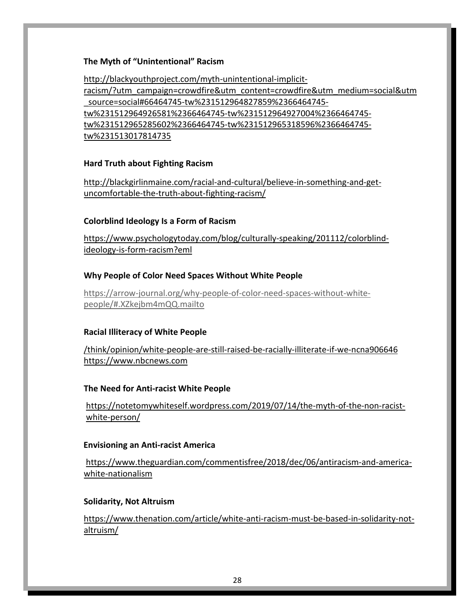#### **The Myth of "Unintentional" Racism**

[http://blackyouthproject.com/myth-unintentional-implicit](http://blackyouthproject.com/myth-unintentional-implicit-racism/?utm_campaign=crowdfire&utm_content=crowdfire&utm_medium=social&utm_source=social#66464745-tw%231512964827859%2366464745-tw%231512964926581%2366464745-tw%231512964927004%2366464745-tw%231512965285602%2366464745-tw%231512965318596%2366464745-tw%231513017814735)[racism/?utm\\_campaign=crowdfire&utm\\_content=crowdfire&utm\\_medium=social&utm](http://blackyouthproject.com/myth-unintentional-implicit-racism/?utm_campaign=crowdfire&utm_content=crowdfire&utm_medium=social&utm_source=social#66464745-tw%231512964827859%2366464745-tw%231512964926581%2366464745-tw%231512964927004%2366464745-tw%231512965285602%2366464745-tw%231512965318596%2366464745-tw%231513017814735) [\\_source=social#66464745-tw%231512964827859%2366464745](http://blackyouthproject.com/myth-unintentional-implicit-racism/?utm_campaign=crowdfire&utm_content=crowdfire&utm_medium=social&utm_source=social#66464745-tw%231512964827859%2366464745-tw%231512964926581%2366464745-tw%231512964927004%2366464745-tw%231512965285602%2366464745-tw%231512965318596%2366464745-tw%231513017814735) [tw%231512964926581%2366464745-tw%231512964927004%2366464745](http://blackyouthproject.com/myth-unintentional-implicit-racism/?utm_campaign=crowdfire&utm_content=crowdfire&utm_medium=social&utm_source=social#66464745-tw%231512964827859%2366464745-tw%231512964926581%2366464745-tw%231512964927004%2366464745-tw%231512965285602%2366464745-tw%231512965318596%2366464745-tw%231513017814735) [tw%231512965285602%2366464745-tw%231512965318596%2366464745](http://blackyouthproject.com/myth-unintentional-implicit-racism/?utm_campaign=crowdfire&utm_content=crowdfire&utm_medium=social&utm_source=social#66464745-tw%231512964827859%2366464745-tw%231512964926581%2366464745-tw%231512964927004%2366464745-tw%231512965285602%2366464745-tw%231512965318596%2366464745-tw%231513017814735) [tw%231513017814735](http://blackyouthproject.com/myth-unintentional-implicit-racism/?utm_campaign=crowdfire&utm_content=crowdfire&utm_medium=social&utm_source=social#66464745-tw%231512964827859%2366464745-tw%231512964926581%2366464745-tw%231512964927004%2366464745-tw%231512965285602%2366464745-tw%231512965318596%2366464745-tw%231513017814735)

#### **Hard Truth about Fighting Racism**

[http://blackgirlinmaine.com/racial-and-cultural/believe-in-something-and-get](http://blackgirlinmaine.com/racial-and-cultural/believe-in-something-and-get-uncomfortable-the-truth-about-fighting-racism/)[uncomfortable-the-truth-about-fighting-racism/](http://blackgirlinmaine.com/racial-and-cultural/believe-in-something-and-get-uncomfortable-the-truth-about-fighting-racism/)

#### **Colorblind Ideology Is a Form of Racism**

[https://www.psychologytoday.com/blog/culturally-speaking/201112/colorblind](https://www.psychologytoday.com/blog/culturally-speaking/201112/colorblind-ideology-is-form-racism?eml)[ideology-is-form-racism?eml](https://www.psychologytoday.com/blog/culturally-speaking/201112/colorblind-ideology-is-form-racism?eml)

#### **Why People of Color Need Spaces Without White People**

[https://arrow-journal.org/why-people-of-color-need-spaces-without-white](https://arrow-journal.org/why-people-of-color-need-spaces-without-white-people/#.XZkejbm4mQQ.mailto)[people/#.XZkejbm4mQQ.mailto](https://arrow-journal.org/why-people-of-color-need-spaces-without-white-people/#.XZkejbm4mQQ.mailto)

#### **Racial Illiteracy of White People**

[/think/opinion/white-people-are-still-raised-be-racially-illiterate-if-we-ncna906646](https://www.nbcnews.com/think/opinion/white-people-are-still-raised-be-racially-illiterate-if-we-ncna906646) https://www.nbcnews.com

#### **The Need for Anti-racist White People**

[https://notetomywhiteself.wordpress.com/2019/07/14/the-myth-of-the-non-racist](https://notetomywhiteself.wordpress.com/2019/07/14/the-myth-of-the-non-racist-white-person/)[white-person/](https://notetomywhiteself.wordpress.com/2019/07/14/the-myth-of-the-non-racist-white-person/)

#### **Envisioning an Anti-racist America**

[https://www.theguardian.com/commentisfree/2018/dec/06/antiracism-and-america](https://www.theguardian.com/commentisfree/2018/dec/06/antiracism-and-america-white-nationalism)[white-nationalism](https://www.theguardian.com/commentisfree/2018/dec/06/antiracism-and-america-white-nationalism)

#### **Solidarity, Not Altruism**

[https://www.thenation.com/article/white-anti-racism-must-be-based-in-solidarity-not](https://www.thenation.com/article/white-anti-racism-must-be-based-in-solidarity-not-altruism/)[altruism/](https://www.thenation.com/article/white-anti-racism-must-be-based-in-solidarity-not-altruism/)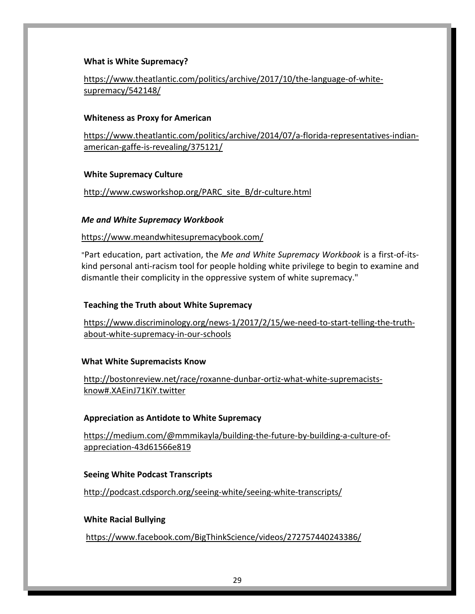#### **What is White Supremacy?**

[https://www.theatlantic.com/politics/archive/2017/10/the-language-of-white](https://www.theatlantic.com/politics/archive/2017/10/the-language-of-white-supremacy/542148/)[supremacy/542148/](https://www.theatlantic.com/politics/archive/2017/10/the-language-of-white-supremacy/542148/)

#### **Whiteness as Proxy for American**

[https://www.theatlantic.com/politics/archive/2014/07/a-florida-representatives-indian](https://www.theatlantic.com/politics/archive/2014/07/a-florida-representatives-indian-american-gaffe-is-revealing/375121/)[american-gaffe-is-revealing/375121/](https://www.theatlantic.com/politics/archive/2014/07/a-florida-representatives-indian-american-gaffe-is-revealing/375121/)

#### **White Supremacy Culture**

[http://www.cwsworkshop.org/PARC\\_site\\_B/dr-culture.html](http://www.cwsworkshop.org/PARC_site_B/dr-culture.html)

#### *Me and White Supremacy Workbook*

#### <https://www.meandwhitesupremacybook.com/>

"Part education, part activation, the *Me and White Supremacy Workbook* is a first-of-itskind personal anti-racism tool for people holding white privilege to begin to examine and dismantle their complicity in the oppressive system of white supremacy."

#### **Teaching the Truth about White Supremacy**

[https://www.discriminology.org/news-1/2017/2/15/we-need-to-start-telling-the-truth](https://www.discriminology.org/news-1/2017/2/15/we-need-to-start-telling-the-truth-about-white-supremacy-in-our-schools)[about-white-supremacy-in-our-schools](https://www.discriminology.org/news-1/2017/2/15/we-need-to-start-telling-the-truth-about-white-supremacy-in-our-schools)

#### **What White Supremacists Know**

[http://bostonreview.net/race/roxanne-dunbar-ortiz-what-white-supremacists](http://bostonreview.net/race/roxanne-dunbar-ortiz-what-white-supremacists-know#.XAEinJ71KiY.twitter)[know#.XAEinJ71KiY.twitter](http://bostonreview.net/race/roxanne-dunbar-ortiz-what-white-supremacists-know#.XAEinJ71KiY.twitter)

#### **Appreciation as Antidote to White Supremacy**

[https://medium.com/@mmmikayla/building-the-future-by-building-a-culture-of](https://medium.com/@mmmikayla/building-the-future-by-building-a-culture-of-appreciation-43d61566e819)[appreciation-43d61566e819](https://medium.com/@mmmikayla/building-the-future-by-building-a-culture-of-appreciation-43d61566e819)

#### **Seeing White Podcast Transcripts**

<http://podcast.cdsporch.org/seeing-white/seeing-white-transcripts/>

#### **White Racial Bullying**

<https://www.facebook.com/BigThinkScience/videos/272757440243386/>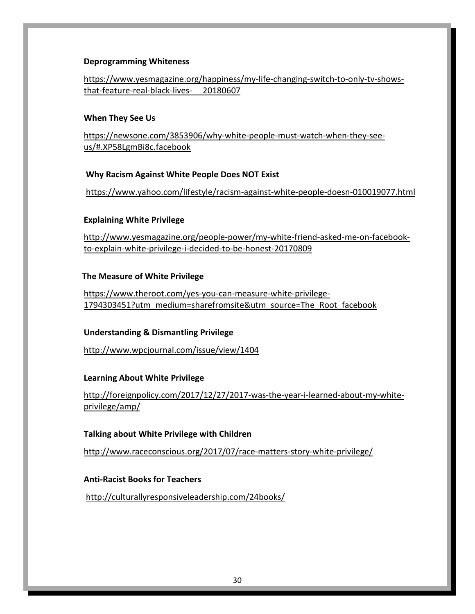#### **Deprogramming Whiteness**

[https://www.yesmagazine.org/happiness/my-life-changing-switch-to-only-tv-shows](https://www.yesmagazine.org/happiness/my-life-changing-switch-to-only-tv-shows-that-feature-real-black-lives-%C2%A0%C2%A0%C2%A0%C2%A0%2020180607)[that-feature-real-black-lives- 20180607](https://www.yesmagazine.org/happiness/my-life-changing-switch-to-only-tv-shows-that-feature-real-black-lives-%C2%A0%C2%A0%C2%A0%C2%A0%2020180607)

#### **When They See Us**

[https://newsone.com/3853906/why-white-people-must-watch-when-they-see](https://newsone.com/3853906/why-white-people-must-watch-when-they-see-us/#.XP58LgmBi8c.facebook)[us/#.XP58LgmBi8c.facebook](https://newsone.com/3853906/why-white-people-must-watch-when-they-see-us/#.XP58LgmBi8c.facebook)

#### **Why Racism Against White People Does NOT Exist**

<https://www.yahoo.com/lifestyle/racism-against-white-people-doesn-010019077.html>

#### **Explaining White Privilege**

[http://www.yesmagazine.org/people-power/my-white-friend-asked-me-on-facebook](http://www.yesmagazine.org/people-power/my-white-friend-asked-me-on-facebook-to-explain-white-privilege-i-decided-to-be-honest-20170809)[to-explain-white-privilege-i-decided-to-be-honest-20170809](http://www.yesmagazine.org/people-power/my-white-friend-asked-me-on-facebook-to-explain-white-privilege-i-decided-to-be-honest-20170809)

#### **The Measure of White Privilege**

[https://www.theroot.com/yes-you-can-measure-white-privilege-](https://www.theroot.com/yes-you-can-measure-white-privilege-1794303451?utm_medium=sharefromsite&utm_source=The_Root_facebook)[1794303451?utm\\_medium=sharefromsite&utm\\_source=The\\_Root\\_facebook](https://www.theroot.com/yes-you-can-measure-white-privilege-1794303451?utm_medium=sharefromsite&utm_source=The_Root_facebook)

#### **Understanding & Dismantling Privilege**

<http://www.wpcjournal.com/issue/view/1404>

#### **Learning About White Privilege**

[http://foreignpolicy.com/2017/12/27/2017-was-the-year-i-learned-about-my-white](http://foreignpolicy.com/2017/12/27/2017-was-the-year-i-learned-about-my-white-privilege/amp/)[privilege/amp/](http://foreignpolicy.com/2017/12/27/2017-was-the-year-i-learned-about-my-white-privilege/amp/)

#### **Talking about White Privilege with Children**

<http://www.raceconscious.org/2017/07/race-matters-story-white-privilege/>

#### **Anti-Racist Books for Teachers**

<http://culturallyresponsiveleadership.com/24books/>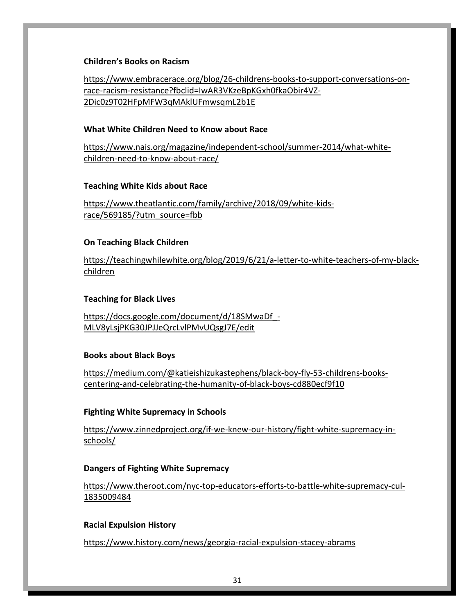#### **Children's Books on Racism**

[https://www.embracerace.org/blog/26-childrens-books-to-support-conversations-on](https://www.embracerace.org/blog/26-childrens-books-to-support-conversations-on-race-racism-resistance?fbclid=IwAR3VKzeBpKGxh0fkaObir4VZ-2Dic0z9T02HFpMFW3qMAklUFmwsqmL2b1E)[race-racism-resistance?fbclid=IwAR3VKzeBpKGxh0fkaObir4VZ-](https://www.embracerace.org/blog/26-childrens-books-to-support-conversations-on-race-racism-resistance?fbclid=IwAR3VKzeBpKGxh0fkaObir4VZ-2Dic0z9T02HFpMFW3qMAklUFmwsqmL2b1E)[2Dic0z9T02HFpMFW3qMAklUFmwsqmL2b1E](https://www.embracerace.org/blog/26-childrens-books-to-support-conversations-on-race-racism-resistance?fbclid=IwAR3VKzeBpKGxh0fkaObir4VZ-2Dic0z9T02HFpMFW3qMAklUFmwsqmL2b1E)

#### **What White Children Need to Know about Race**

[https://www.nais.org/magazine/independent-school/summer-2014/what-white](https://www.nais.org/magazine/independent-school/summer-2014/what-white-children-need-to-know-about-race/)[children-need-to-know-about-race/](https://www.nais.org/magazine/independent-school/summer-2014/what-white-children-need-to-know-about-race/)

#### **Teaching White Kids about Race**

[https://www.theatlantic.com/family/archive/2018/09/white-kids](https://www.theatlantic.com/family/archive/2018/09/white-kids-race/569185/?utm_source=fbb)[race/569185/?utm\\_source=fbb](https://www.theatlantic.com/family/archive/2018/09/white-kids-race/569185/?utm_source=fbb)

#### **On Teaching Black Children**

[https://teachingwhilewhite.org/blog/2019/6/21/a-letter-to-white-teachers-of-my-black](https://teachingwhilewhite.org/blog/2019/6/21/a-letter-to-white-teachers-of-my-black-children)[children](https://teachingwhilewhite.org/blog/2019/6/21/a-letter-to-white-teachers-of-my-black-children)

#### **Teaching for Black Lives**

[https://docs.google.com/document/d/18SMwaDf\\_-](https://docs.google.com/document/d/18SMwaDf_-MLV8yLsjPKG30JPJJeQrcLvlPMvUQsgJ7E/edit) [MLV8yLsjPKG30JPJJeQrcLvlPMvUQsgJ7E/edit](https://docs.google.com/document/d/18SMwaDf_-MLV8yLsjPKG30JPJJeQrcLvlPMvUQsgJ7E/edit)

#### **Books about Black Boys**

[https://medium.com/@katieishizukastephens/black-boy-fly-53-childrens-books](https://medium.com/@katieishizukastephens/black-boy-fly-53-childrens-books-centering-and-celebrating-the-humanity-of-black-boys-cd880ecf9f10)[centering-and-celebrating-the-humanity-of-black-boys-cd880ecf9f10](https://medium.com/@katieishizukastephens/black-boy-fly-53-childrens-books-centering-and-celebrating-the-humanity-of-black-boys-cd880ecf9f10)

#### **Fighting White Supremacy in Schools**

[https://www.zinnedproject.org/if-we-knew-our-history/fight-white-supremacy-in](https://www.zinnedproject.org/if-we-knew-our-history/fight-white-supremacy-in-schools/)[schools/](https://www.zinnedproject.org/if-we-knew-our-history/fight-white-supremacy-in-schools/)

#### **Dangers of Fighting White Supremacy**

[https://www.theroot.com/nyc-top-educators-efforts-to-battle-white-supremacy-cul-](https://www.theroot.com/nyc-top-educators-efforts-to-battle-white-supremacy-cul-1835009484)[1835009484](https://www.theroot.com/nyc-top-educators-efforts-to-battle-white-supremacy-cul-1835009484)

#### **Racial Expulsion History**

<https://www.history.com/news/georgia-racial-expulsion-stacey-abrams>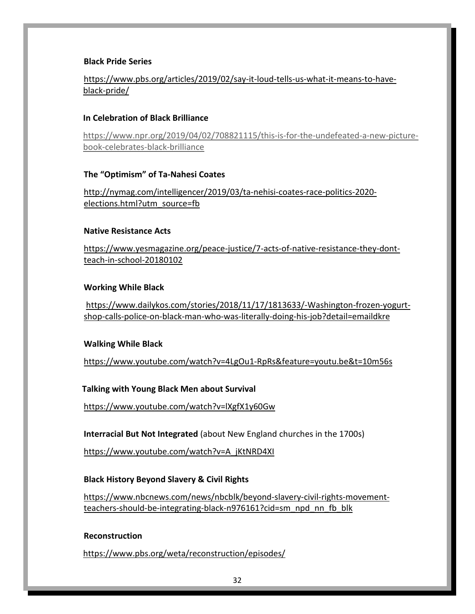#### **Black Pride Series**

#### [https://www.pbs.org/articles/2019/02/say-it-loud-tells-us-what-it-means-to-have](https://www.pbs.org/articles/2019/02/say-it-loud-tells-us-what-it-means-to-have-black-pride/)[black-pride/](https://www.pbs.org/articles/2019/02/say-it-loud-tells-us-what-it-means-to-have-black-pride/)

#### **In Celebration of Black Brilliance**

[https://www.npr.org/2019/04/02/708821115/this-is-for-the-undefeated-a-new-picture](https://www.npr.org/2019/04/02/708821115/this-is-for-the-undefeated-a-new-picture-book-celebrates-black-brilliance)[book-celebrates-black-brilliance](https://www.npr.org/2019/04/02/708821115/this-is-for-the-undefeated-a-new-picture-book-celebrates-black-brilliance)

#### **The "Optimism" of Ta-Nahesi Coates**

[http://nymag.com/intelligencer/2019/03/ta-nehisi-coates-race-politics-2020](http://nymag.com/intelligencer/2019/03/ta-nehisi-coates-race-politics-2020-elections.html?utm_source=fb) [elections.html?utm\\_source=fb](http://nymag.com/intelligencer/2019/03/ta-nehisi-coates-race-politics-2020-elections.html?utm_source=fb)

#### **Native Resistance Acts**

[https://www.yesmagazine.org/peace-justice/7-acts-of-native-resistance-they-dont](https://www.yesmagazine.org/peace-justice/7-acts-of-native-resistance-they-dont-teach-in-school-20180102)[teach-in-school-20180102](https://www.yesmagazine.org/peace-justice/7-acts-of-native-resistance-they-dont-teach-in-school-20180102)

#### **Working While Black**

[https://www.dailykos.com/stories/2018/11/17/1813633/-Washington-frozen-yogurt](https://www.dailykos.com/stories/2018/11/17/1813633/-Washington-frozen-yogurt-shop-calls-police-on-black-man-who-was-literally-doing-his-job?detail=emaildkre)[shop-calls-police-on-black-man-who-was-literally-doing-his-job?detail=emaildkre](https://www.dailykos.com/stories/2018/11/17/1813633/-Washington-frozen-yogurt-shop-calls-police-on-black-man-who-was-literally-doing-his-job?detail=emaildkre)

#### **Walking While Black**

<https://www.youtube.com/watch?v=4LgOu1-RpRs&feature=youtu.be&t=10m56s>

 **Talking with Young Black Men about Survival** 

<https://www.youtube.com/watch?v=lXgfX1y60Gw>

**Interracial But Not Integrated** (about New England churches in the 1700s)

[https://www.youtube.com/watch?v=A\\_jKtNRD4XI](https://www.youtube.com/watch?v=A_jKtNRD4XI)

#### **Black History Beyond Slavery & Civil Rights**

[https://www.nbcnews.com/news/nbcblk/beyond-slavery-civil-rights-movement](https://www.nbcnews.com/news/nbcblk/beyond-slavery-civil-rights-movement-teachers-should-be-integrating-black-n976161?cid=sm_npd_nn_fb_blk)[teachers-should-be-integrating-black-n976161?cid=sm\\_npd\\_nn\\_fb\\_blk](https://www.nbcnews.com/news/nbcblk/beyond-slavery-civil-rights-movement-teachers-should-be-integrating-black-n976161?cid=sm_npd_nn_fb_blk)

#### **Reconstruction**

<https://www.pbs.org/weta/reconstruction/episodes/>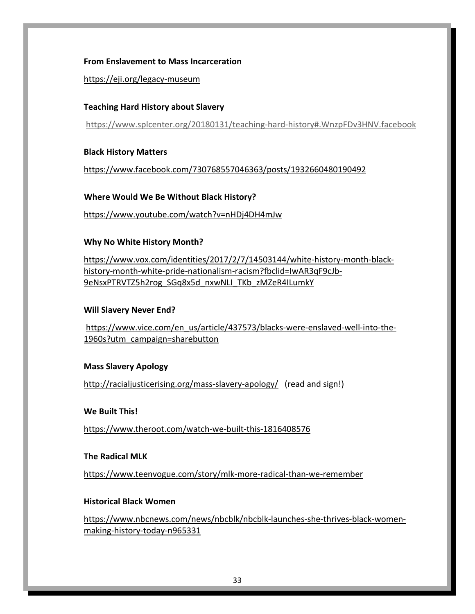#### **From Enslavement to Mass Incarceration**

#### <https://eji.org/legacy-museum>

#### **Teaching Hard History about Slavery**

<https://www.splcenter.org/20180131/teaching-hard-history#.WnzpFDv3HNV.facebook>

#### **Black History Matters**

<https://www.facebook.com/730768557046363/posts/1932660480190492>

#### **Where Would We Be Without Black History?**

<https://www.youtube.com/watch?v=nHDj4DH4mJw>

#### **Why No White History Month?**

[https://www.vox.com/identities/2017/2/7/14503144/white-history-month-black](https://www.vox.com/identities/2017/2/7/14503144/white-history-month-black-history-month-white-pride-nationalism-racism?fbclid=IwAR3qF9cJb-9eNsxPTRVTZ5h2rog_SGq8x5d_nxwNLI_TKb_zMZeR4ILumkY)[history-month-white-pride-nationalism-racism?fbclid=IwAR3qF9cJb-](https://www.vox.com/identities/2017/2/7/14503144/white-history-month-black-history-month-white-pride-nationalism-racism?fbclid=IwAR3qF9cJb-9eNsxPTRVTZ5h2rog_SGq8x5d_nxwNLI_TKb_zMZeR4ILumkY)[9eNsxPTRVTZ5h2rog\\_SGq8x5d\\_nxwNLI\\_TKb\\_zMZeR4ILumkY](https://www.vox.com/identities/2017/2/7/14503144/white-history-month-black-history-month-white-pride-nationalism-racism?fbclid=IwAR3qF9cJb-9eNsxPTRVTZ5h2rog_SGq8x5d_nxwNLI_TKb_zMZeR4ILumkY)

#### **Will Slavery Never End?**

[https://www.vice.com/en\\_us/article/437573/blacks-were-enslaved-well-into-the-](https://www.vice.com/en_us/article/437573/blacks-were-enslaved-well-into-the-1960s?utm_campaign=sharebutton)[1960s?utm\\_campaign=sharebutton](https://www.vice.com/en_us/article/437573/blacks-were-enslaved-well-into-the-1960s?utm_campaign=sharebutton)

#### **Mass Slavery Apology**

<http://racialjusticerising.org/mass-slavery-apology/>(read and sign!)

#### **We Built This!**

<https://www.theroot.com/watch-we-built-this-1816408576>

#### **The Radical MLK**

<https://www.teenvogue.com/story/mlk-more-radical-than-we-remember>

#### **Historical Black Women**

[https://www.nbcnews.com/news/nbcblk/nbcblk-launches-she-thrives-black-women](https://www.nbcnews.com/news/nbcblk/nbcblk-launches-she-thrives-black-women-making-history-today-n965331)[making-history-today-n965331](https://www.nbcnews.com/news/nbcblk/nbcblk-launches-she-thrives-black-women-making-history-today-n965331)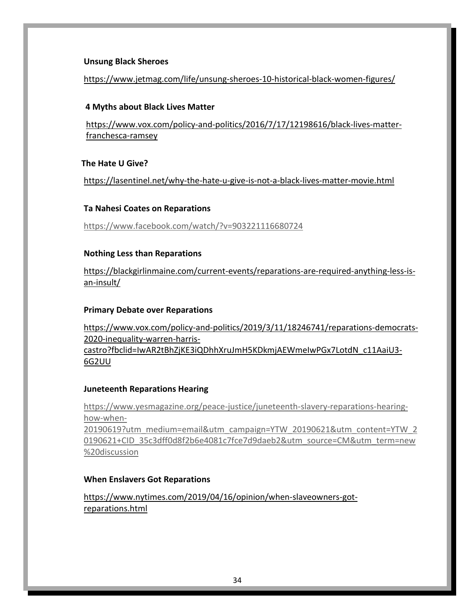#### **Unsung Black Sheroes**

<https://www.jetmag.com/life/unsung-sheroes-10-historical-black-women-figures/>

#### **4 Myths about Black Lives Matter**

[https://www.vox.com/policy-and-politics/2016/7/17/12198616/black-lives-matter](https://www.vox.com/policy-and-politics/2016/7/17/12198616/black-lives-matter-franchesca-ramsey)[franchesca-ramsey](https://www.vox.com/policy-and-politics/2016/7/17/12198616/black-lives-matter-franchesca-ramsey)

#### **The Hate U Give?**

<https://lasentinel.net/why-the-hate-u-give-is-not-a-black-lives-matter-movie.html>

#### **Ta Nahesi Coates on Reparations**

<https://www.facebook.com/watch/?v=903221116680724>

#### **Nothing Less than Reparations**

[https://blackgirlinmaine.com/current-events/reparations-are-required-anything-less-is](https://blackgirlinmaine.com/current-events/reparations-are-required-anything-less-is-an-insult/)[an-insult/](https://blackgirlinmaine.com/current-events/reparations-are-required-anything-less-is-an-insult/)

#### **Primary Debate over Reparations**

[https://www.vox.com/policy-and-politics/2019/3/11/18246741/reparations-democrats-](https://www.vox.com/policy-and-politics/2019/3/11/18246741/reparations-democrats-2020-inequality-warren-harris-castro?fbclid=IwAR2tBhZjKE3iQDhhXruJmH5KDkmjAEWmeIwPGx7LotdN_c11AaiU3-6G2UU)[2020-inequality-warren-harris](https://www.vox.com/policy-and-politics/2019/3/11/18246741/reparations-democrats-2020-inequality-warren-harris-castro?fbclid=IwAR2tBhZjKE3iQDhhXruJmH5KDkmjAEWmeIwPGx7LotdN_c11AaiU3-6G2UU)[castro?fbclid=IwAR2tBhZjKE3iQDhhXruJmH5KDkmjAEWmeIwPGx7LotdN\\_c11AaiU3-](https://www.vox.com/policy-and-politics/2019/3/11/18246741/reparations-democrats-2020-inequality-warren-harris-castro?fbclid=IwAR2tBhZjKE3iQDhhXruJmH5KDkmjAEWmeIwPGx7LotdN_c11AaiU3-6G2UU) [6G2UU](https://www.vox.com/policy-and-politics/2019/3/11/18246741/reparations-democrats-2020-inequality-warren-harris-castro?fbclid=IwAR2tBhZjKE3iQDhhXruJmH5KDkmjAEWmeIwPGx7LotdN_c11AaiU3-6G2UU)

#### **Juneteenth Reparations Hearing**

[https://www.yesmagazine.org/peace-justice/juneteenth-slavery-reparations-hearing](https://www.yesmagazine.org/peace-justice/juneteenth-slavery-reparations-hearing-how-when-20190619?utm_medium=email&utm_campaign=YTW_20190621&utm_content=YTW_20190621+CID_35c3dff0d8f2b6e4081c7fce7d9daeb2&utm_source=CM&utm_term=new%20discussion)[how-when-](https://www.yesmagazine.org/peace-justice/juneteenth-slavery-reparations-hearing-how-when-20190619?utm_medium=email&utm_campaign=YTW_20190621&utm_content=YTW_20190621+CID_35c3dff0d8f2b6e4081c7fce7d9daeb2&utm_source=CM&utm_term=new%20discussion)[20190619?utm\\_medium=email&utm\\_campaign=YTW\\_20190621&utm\\_content=YTW\\_2](https://www.yesmagazine.org/peace-justice/juneteenth-slavery-reparations-hearing-how-when-20190619?utm_medium=email&utm_campaign=YTW_20190621&utm_content=YTW_20190621+CID_35c3dff0d8f2b6e4081c7fce7d9daeb2&utm_source=CM&utm_term=new%20discussion) [0190621+CID\\_35c3dff0d8f2b6e4081c7fce7d9daeb2&utm\\_source=CM&utm\\_term=new](https://www.yesmagazine.org/peace-justice/juneteenth-slavery-reparations-hearing-how-when-20190619?utm_medium=email&utm_campaign=YTW_20190621&utm_content=YTW_20190621+CID_35c3dff0d8f2b6e4081c7fce7d9daeb2&utm_source=CM&utm_term=new%20discussion)

[%20discussion](https://www.yesmagazine.org/peace-justice/juneteenth-slavery-reparations-hearing-how-when-20190619?utm_medium=email&utm_campaign=YTW_20190621&utm_content=YTW_20190621+CID_35c3dff0d8f2b6e4081c7fce7d9daeb2&utm_source=CM&utm_term=new%20discussion)

#### **When Enslavers Got Reparations**

[https://www.nytimes.com/2019/04/16/opinion/when-slaveowners-got](https://www.nytimes.com/2019/04/16/opinion/when-slaveowners-got-reparations.html)[reparations.html](https://www.nytimes.com/2019/04/16/opinion/when-slaveowners-got-reparations.html)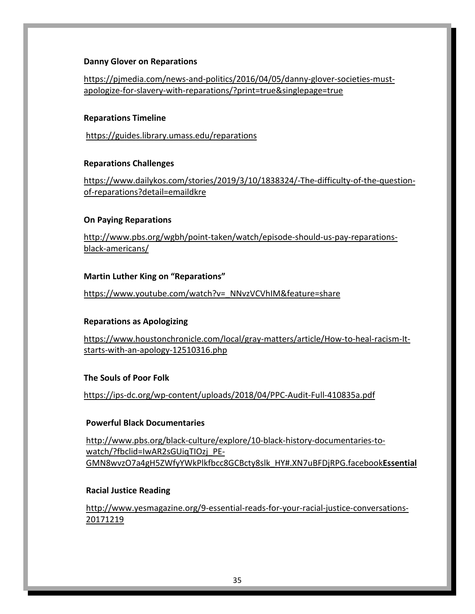#### **Danny Glover on Reparations**

[https://pjmedia.com/news-and-politics/2016/04/05/danny-glover-societies-must](https://pjmedia.com/news-and-politics/2016/04/05/danny-glover-societies-must-apologize-for-slavery-with-reparations/?print=true&singlepage=true)[apologize-for-slavery-with-reparations/?print=true&singlepage=true](https://pjmedia.com/news-and-politics/2016/04/05/danny-glover-societies-must-apologize-for-slavery-with-reparations/?print=true&singlepage=true)

#### **Reparations Timeline**

<https://guides.library.umass.edu/reparations>

#### **Reparations Challenges**

[https://www.dailykos.com/stories/2019/3/10/1838324/-The-difficulty-of-the-question](https://www.dailykos.com/stories/2019/3/10/1838324/-The-difficulty-of-the-question-of-reparations?detail=emaildkre)[of-reparations?detail=emaildkre](https://www.dailykos.com/stories/2019/3/10/1838324/-The-difficulty-of-the-question-of-reparations?detail=emaildkre)

#### **On Paying Reparations**

[http://www.pbs.org/wgbh/point-taken/watch/episode-should-us-pay-reparations](http://www.pbs.org/wgbh/point-taken/watch/episode-should-us-pay-reparations-black-americans/)[black-americans/](http://www.pbs.org/wgbh/point-taken/watch/episode-should-us-pay-reparations-black-americans/)

#### **Martin Luther King on "Reparations"**

[https://www.youtube.com/watch?v=\\_NNvzVCVhIM&feature=share](https://www.youtube.com/watch?v=_NNvzVCVhIM&feature=share)

#### **Reparations as Apologizing**

[https://www.houstonchronicle.com/local/gray-matters/article/How-to-heal-racism-It](https://www.houstonchronicle.com/local/gray-matters/article/How-to-heal-racism-It-starts-with-an-apology-12510316.php)[starts-with-an-apology-12510316.php](https://www.houstonchronicle.com/local/gray-matters/article/How-to-heal-racism-It-starts-with-an-apology-12510316.php)

#### **The Souls of Poor Folk**

<https://ips-dc.org/wp-content/uploads/2018/04/PPC-Audit-Full-410835a.pdf>

#### **Powerful Black Documentaries**

[http://www.pbs.org/black-culture/explore/10-black-history-documentaries-to](http://www.pbs.org/black-culture/explore/10-black-history-documentaries-to-watch/?fbclid=IwAR2sGUiqTIOzj_PE-GMN8wvzO7a4gH5ZWfyYWkPlkfbcc8GCBcty8slk_HY#.XN7uBFDjRPG.facebookEssential)[watch/?fbclid=IwAR2sGUiqTIOzj\\_PE-](http://www.pbs.org/black-culture/explore/10-black-history-documentaries-to-watch/?fbclid=IwAR2sGUiqTIOzj_PE-GMN8wvzO7a4gH5ZWfyYWkPlkfbcc8GCBcty8slk_HY#.XN7uBFDjRPG.facebookEssential)[GMN8wvzO7a4gH5ZWfyYWkPlkfbcc8GCBcty8slk\\_HY#.XN7uBFDjRPG.facebook](http://www.pbs.org/black-culture/explore/10-black-history-documentaries-to-watch/?fbclid=IwAR2sGUiqTIOzj_PE-GMN8wvzO7a4gH5ZWfyYWkPlkfbcc8GCBcty8slk_HY#.XN7uBFDjRPG.facebookEssential)**Essential**

#### **Racial Justice Reading**

[http://www.yesmagazine.org/9-essential-reads-for-your-racial-justice-conversations-](http://www.yesmagazine.org/9-essential-reads-for-your-racial-justice-conversations-20171219)[20171219](http://www.yesmagazine.org/9-essential-reads-for-your-racial-justice-conversations-20171219)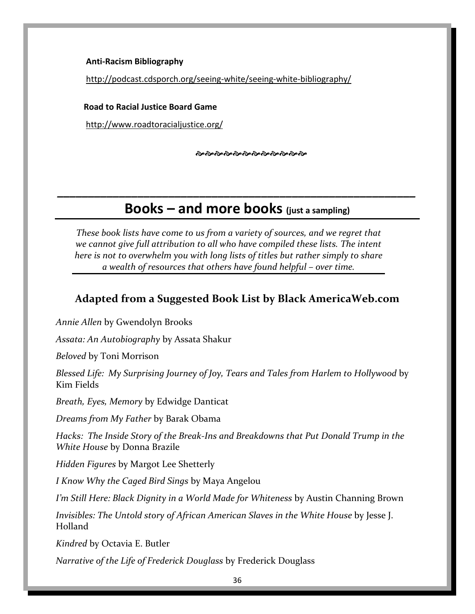#### **Anti-Racism Bibliography**

<http://podcast.cdsporch.org/seeing-white/seeing-white-bibliography/>

#### **Road to Racial Justice Board Game**

<http://www.roadtoracialjustice.org/>

ર્જાજીજીજીજીજીજીજીજીજીજીજી

# **Books – and more books (just a sampling)**

*\_\_\_\_\_\_\_\_\_\_\_\_\_\_\_\_\_\_\_\_\_\_\_\_\_\_\_\_\_\_\_\_\_\_\_\_\_\_\_\_\_\_\_\_\_\_\_\_\_\_\_\_\_\_\_\_\_\_*

*These book lists have come to us from a variety of sources, and we regret that we cannot give full attribution to all who have compiled these lists. The intent here is not to overwhelm you with long lists of titles but rather simply to share a wealth of resources that others have found helpful – over time.*

### **Adapted from a Suggested Book List by Black AmericaWeb.com**

*Annie Allen* by Gwendolyn Brooks

*Assata: An Autobiography* by Assata Shakur

*Beloved* by Toni Morrison

*Blessed Life: My Surprising Journey of Joy, Tears and Tales from Harlem to Hollywood* by Kim Fields

*Breath, Eyes, Memory* by Edwidge Danticat

*Dreams from My Father* by Barak Obama

*Hacks: The Inside Story of the Break-Ins and Breakdowns that Put Donald Trump in the White House* by Donna Brazile

*Hidden Figures* by Margot Lee Shetterly

*I Know Why the Caged Bird Sings* by Maya Angelou

*I'm Still Here: Black Dignity in a World Made for Whiteness* by Austin Channing Brown

*Invisibles: The Untold story of African American Slaves in the White House* by Jesse J. Holland

*Kindred* by Octavia E. Butler

*Narrative of the Life of Frederick Douglass* by Frederick Douglass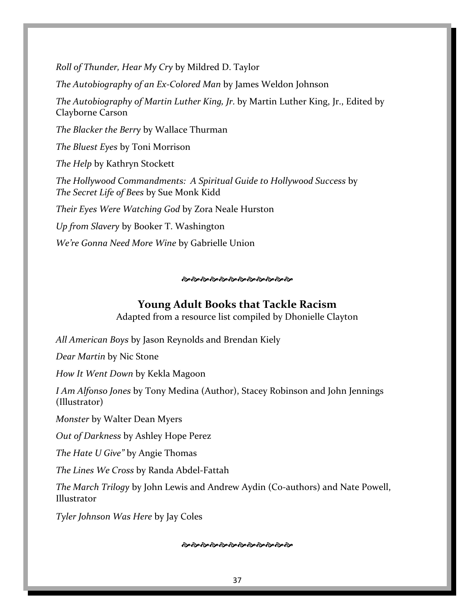*Roll of Thunder, Hear My Cry* by Mildred D. Taylor

*The Autobiography of an Ex-Colored Man* by James Weldon Johnson

*The Autobiography of Martin Luther King, Jr*. by Martin Luther King, Jr., Edited by Clayborne Carson

*The Blacker the Berry* by Wallace Thurman

*The Bluest Eyes* by Toni Morrison

*The Help* by Kathryn Stockett

*The Hollywood Commandments: A Spiritual Guide to Hollywood Success* by *The Secret Life of Bees* by Sue Monk Kidd

*Their Eyes Were Watching God* by Zora Neale Hurston

*Up from Slavery* by Booker T. Washington

*We're Gonna Need More Wine* by Gabrielle Union

#### ર્જાજીજીજીજીજીજીજીજીજીજીજી

### **Young Adult Books that Tackle Racism**

Adapted from a resource list compiled by Dhonielle Clayton

*All American Boys* by Jason Reynolds and Brendan Kiely

*Dear Martin* by Nic Stone

*How It Went Down* by Kekla Magoon

*I Am Alfonso Jones* by Tony Medina (Author), Stacey Robinson and John Jennings (Illustrator)

*Monster* by Walter Dean Myers

*Out of Darkness* by Ashley Hope Perez

*The Hate U Give"* by Angie Thomas

*The Lines We Cross* by Randa Abdel-Fattah

*The March Trilogy* by John Lewis and Andrew Aydin (Co-authors) and Nate Powell, Illustrator

*Tyler Johnson Was Here* by Jay Coles

ર્જાષ્ઠોષ્ઠીષ્ઠીષ્ઠીષ્ઠીષ્ઠીષ્ઠીષ્ઠીષ્ઠીષ્ઠી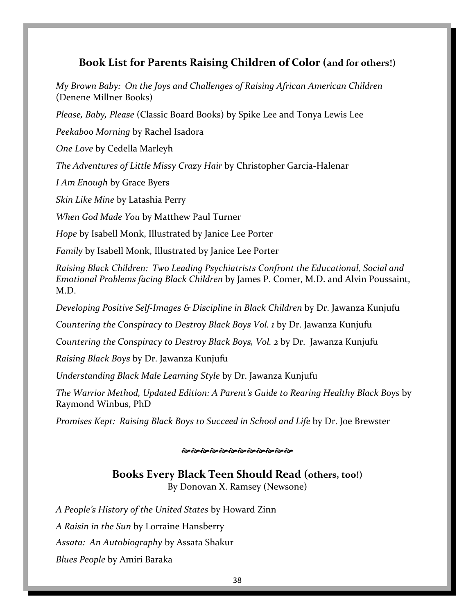# **Book List for Parents Raising Children of Color (and for others!)**

*My Brown Baby: On the Joys and Challenges of Raising African American Children* (Denene Millner Books)

*Please, Baby, Please* (Classic Board Books) by Spike Lee and Tonya Lewis Lee

*Peekaboo Morning* by Rachel Isadora

*One Love* by Cedella Marleyh

*The Adventures of Little Missy Crazy Hair* by Christopher Garcia-Halenar

*I Am Enough* by Grace Byers

*Skin Like Mine* by Latashia Perry

*When God Made You* by Matthew Paul Turner

*Hope* by Isabell Monk, Illustrated by Janice Lee Porter

*Family* by Isabell Monk, Illustrated by Janice Lee Porter

*Raising Black Children: Two Leading Psychiatrists Confront the Educational, Social and Emotional Problems facing Black Children* by James P. Comer, M.D. and Alvin Poussaint, M.D.

*Developing Positive Self-Images & Discipline in Black Children* by Dr. Jawanza Kunjufu

*Countering the Conspiracy to Destroy Black Boys Vol. 1* by Dr. Jawanza Kunjufu

*Countering the Conspiracy to Destroy Black Boys, Vol. 2* by Dr. Jawanza Kunjufu

*Raising Black Boys* by Dr. Jawanza Kunjufu

*Understanding Black Male Learning Style* by Dr. Jawanza Kunjufu

*The Warrior Method, Updated Edition: A Parent's Guide to Rearing Healthy Black Boys* by Raymond Winbus, PhD

*Promises Kept: Raising Black Boys to Succeed in School and Life* by Dr. Joe Brewster

#### 

### **Books Every Black Teen Should Read (others, too!)**

By Donovan X. Ramsey (Newsone)

*A People's History of the United States* by Howard Zinn

*A Raisin in the Sun* by Lorraine Hansberry

*Assata: An Autobiography* by Assata Shakur

*Blues People* by Amiri Baraka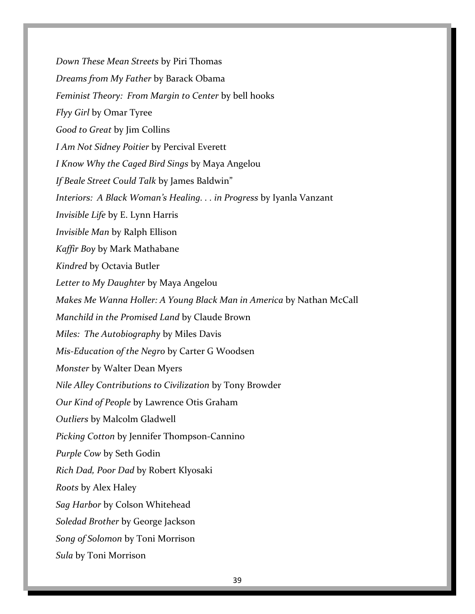*Down These Mean Streets* by Piri Thomas *Dreams from My Father* by Barack Obama *Feminist Theory: From Margin to Center* by bell hooks *Flyy Girl* by Omar Tyree *Good to Great* by Jim Collins *I Am Not Sidney Poitier* by Percival Everett *I Know Why the Caged Bird Sings* by Maya Angelou *If Beale Street Could Talk* by James Baldwin" *Interiors: A Black Woman's Healing. . . in Progress* by Iyanla Vanzant *Invisible Life* by E. Lynn Harris *Invisible Man* by Ralph Ellison *Kaffir Boy* by Mark Mathabane *Kindred* by Octavia Butler *Letter to My Daughter* by Maya Angelou *Makes Me Wanna Holler: A Young Black Man in America* by Nathan McCall *Manchild in the Promised Land* by Claude Brown *Miles: The Autobiography* by Miles Davis *Mis-Education of the Negro* by Carter G Woodsen *Monster* by Walter Dean Myers *Nile Alley Contributions to Civilization* by Tony Browder *Our Kind of People* by Lawrence Otis Graham *Outliers* by Malcolm Gladwell *Picking Cotton* by Jennifer Thompson-Cannino *Purple Cow* by Seth Godin *Rich Dad, Poor Dad* by Robert Klyosaki *Roots* by Alex Haley *Sag Harbor* by Colson Whitehead *Soledad Brother* by George Jackson *Song of Solomon* by Toni Morrison *Sula* by Toni Morrison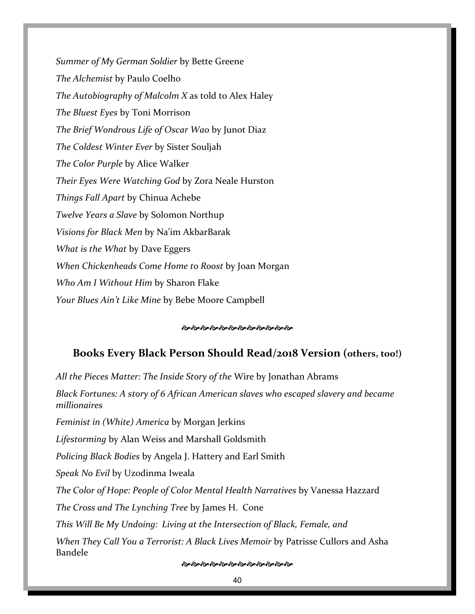*Summer of My German Soldier* by Bette Greene *The Alchemist* by Paulo Coelho *The Autobiography of Malcolm X* as told to Alex Haley *The Bluest Eyes* by Toni Morrison *The Brief Wondrous Life of Oscar Wao* by Junot Diaz *The Coldest Winter Ever* by Sister Souljah *The Color Purple* by Alice Walker *Their Eyes Were Watching God* by Zora Neale Hurston *Things Fall Apart* by Chinua Achebe *Twelve Years a Slave* by Solomon Northup *Visions for Black Men* by Na'im AkbarBarak *What is the What* by Dave Eggers *When Chickenheads Come Home to Roost* by Joan Morgan *Who Am I Without Him* by Sharon Flake *Your Blues Ain't Like Mine* by Bebe Moore Campbell

#### ર્જાજીજીજીજીજીજીજીજીજીજીજી

### **Books Every Black Person Should Read/2018 Version (others, too!)**

*All the Pieces Matter: The Inside Story of the* Wire by Jonathan Abrams

*Black Fortunes: A story of 6 African American slaves who escaped slavery and became millionaires Feminist in (White) America* by Morgan Jerkins *Lifestorming* by Alan Weiss and Marshall Goldsmith *Policing Black Bodies* by Angela J. Hattery and Earl Smith *Speak No Evil* by Uzodinma Iweala *The Color of Hope: People of Color Mental Health Narratives* by Vanessa Hazzard *The Cross and The Lynching Tree* by James H. Cone *This Will Be My Undoing: Living at the Intersection of Black, Female, and When They Call You a Terrorist: A Black Lives Memoir* by Patrisse Cullors and Asha Bandele ર્જાર્જાજી રહી રહી રહી રહી રહી રહી રહી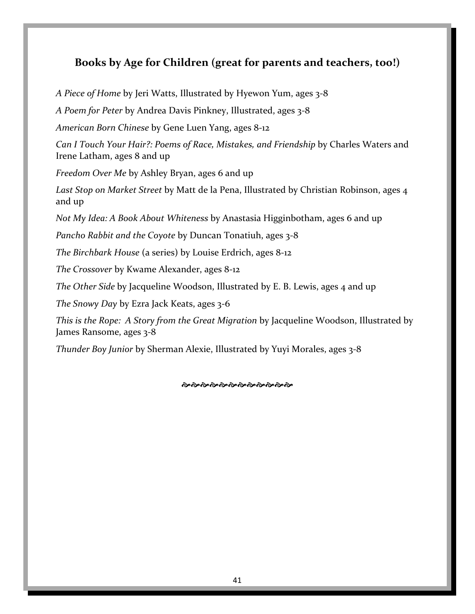# **Books by Age for Children (great for parents and teachers, too!)**

*A Piece of Home* by Jeri Watts, Illustrated by Hyewon Yum, ages 3-8 *A Poem for Peter* by Andrea Davis Pinkney, Illustrated, ages 3-8 *American Born Chinese* by Gene Luen Yang, ages 8-12 *Can I Touch Your Hair?: Poems of Race, Mistakes, and Friendship* by Charles Waters and Irene Latham, ages 8 and up *Freedom Over Me* by Ashley Bryan, ages 6 and up *Last Stop on Market Street* by Matt de la Pena, Illustrated by Christian Robinson, ages 4 and up *Not My Idea: A Book About Whiteness* by Anastasia Higginbotham, ages 6 and up Pancho Rabbit and the Coyote by Duncan Tonatiuh, ages 3-8 *The Birchbark House* (a series) by Louise Erdrich, ages 8-12 *The Crossover* by Kwame Alexander, ages 8-12 *The Other Side* by Jacqueline Woodson, Illustrated by E. B. Lewis, ages 4 and up *The Snowy Day* by Ezra Jack Keats, ages 3-6

*This is the Rope: A Story from the Great Migration* by Jacqueline Woodson, Illustrated by James Ransome, ages 3-8

*Thunder Boy Junior* by Sherman Alexie, Illustrated by Yuyi Morales, ages 3-8

**જ્ઞેજીજીજીજીજીજીજીજીજીજીજી**